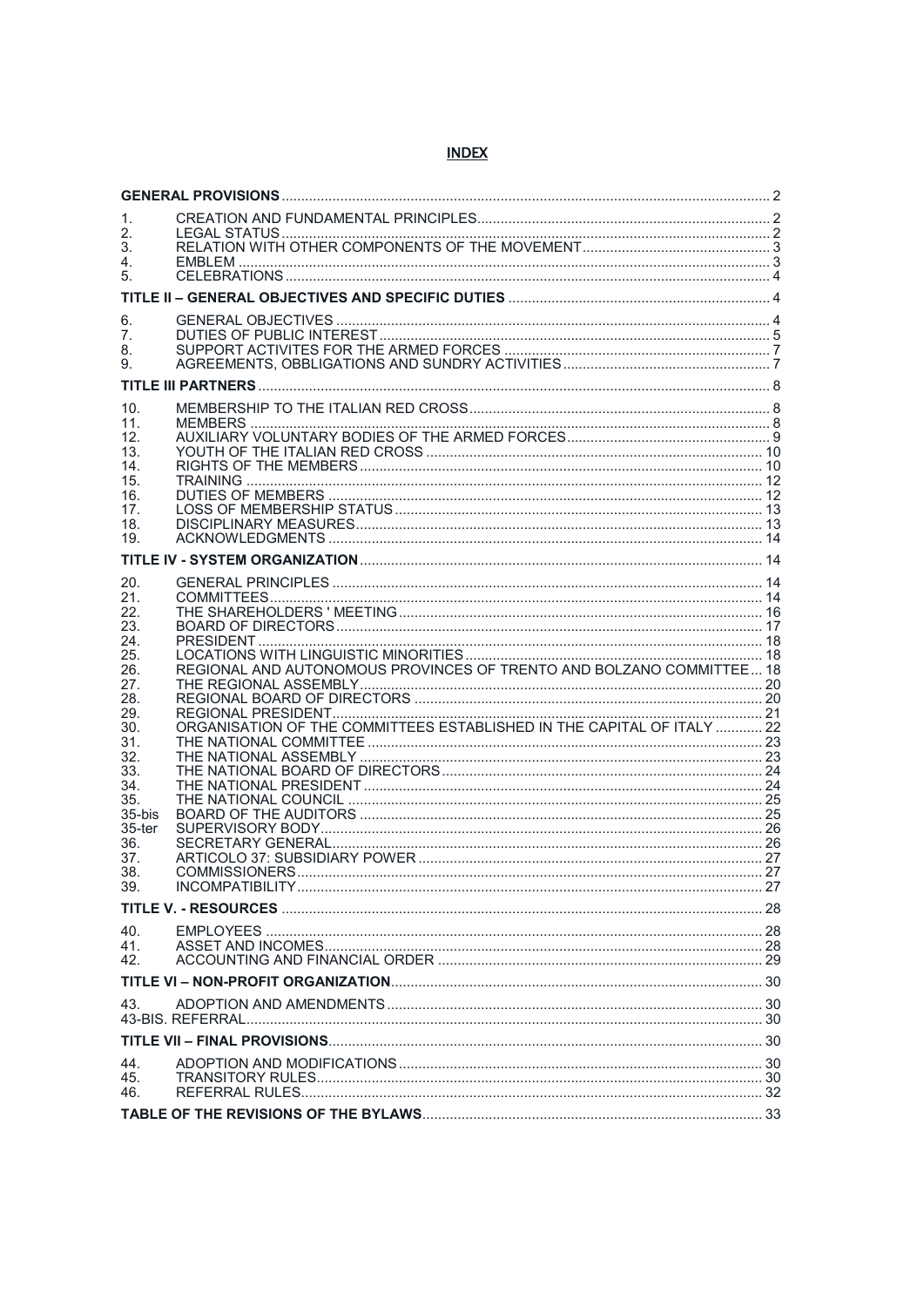# **INDEX**

| 1.<br>2.               |                                                                        |  |  |  |
|------------------------|------------------------------------------------------------------------|--|--|--|
| 3.<br>4.               |                                                                        |  |  |  |
| 5.                     |                                                                        |  |  |  |
|                        |                                                                        |  |  |  |
| 6.                     |                                                                        |  |  |  |
| 7.<br>8.               |                                                                        |  |  |  |
| 9.                     |                                                                        |  |  |  |
|                        |                                                                        |  |  |  |
| 10.<br>11.             |                                                                        |  |  |  |
| 12.                    |                                                                        |  |  |  |
| 13.<br>14.             |                                                                        |  |  |  |
| 15.                    |                                                                        |  |  |  |
| 16.<br>17.             |                                                                        |  |  |  |
| 18.<br>19.             |                                                                        |  |  |  |
|                        |                                                                        |  |  |  |
| 20.                    |                                                                        |  |  |  |
| 21.                    |                                                                        |  |  |  |
| 22.<br>23.             |                                                                        |  |  |  |
| 24.                    |                                                                        |  |  |  |
| 25.<br>26.             | REGIONAL AND AUTONOMOUS PROVINCES OF TRENTO AND BOLZANO COMMITTEE 18   |  |  |  |
| 27.                    |                                                                        |  |  |  |
| 28.<br>29.             |                                                                        |  |  |  |
| 30.                    | ORGANISATION OF THE COMMITTEES ESTABLISHED IN THE CAPITAL OF ITALY  22 |  |  |  |
| 31.<br>32.             |                                                                        |  |  |  |
| 33.<br>34.             |                                                                        |  |  |  |
| 35.                    |                                                                        |  |  |  |
| 35-bis<br>$35$ -ter    |                                                                        |  |  |  |
| 36.                    |                                                                        |  |  |  |
| 37.<br>38.             |                                                                        |  |  |  |
| 39.                    |                                                                        |  |  |  |
|                        |                                                                        |  |  |  |
| 40.                    |                                                                        |  |  |  |
| 41.<br>42 <sub>1</sub> |                                                                        |  |  |  |
|                        |                                                                        |  |  |  |
| 43.                    |                                                                        |  |  |  |
|                        |                                                                        |  |  |  |
| 44.                    |                                                                        |  |  |  |
| 45.                    |                                                                        |  |  |  |
| 46.                    |                                                                        |  |  |  |
|                        |                                                                        |  |  |  |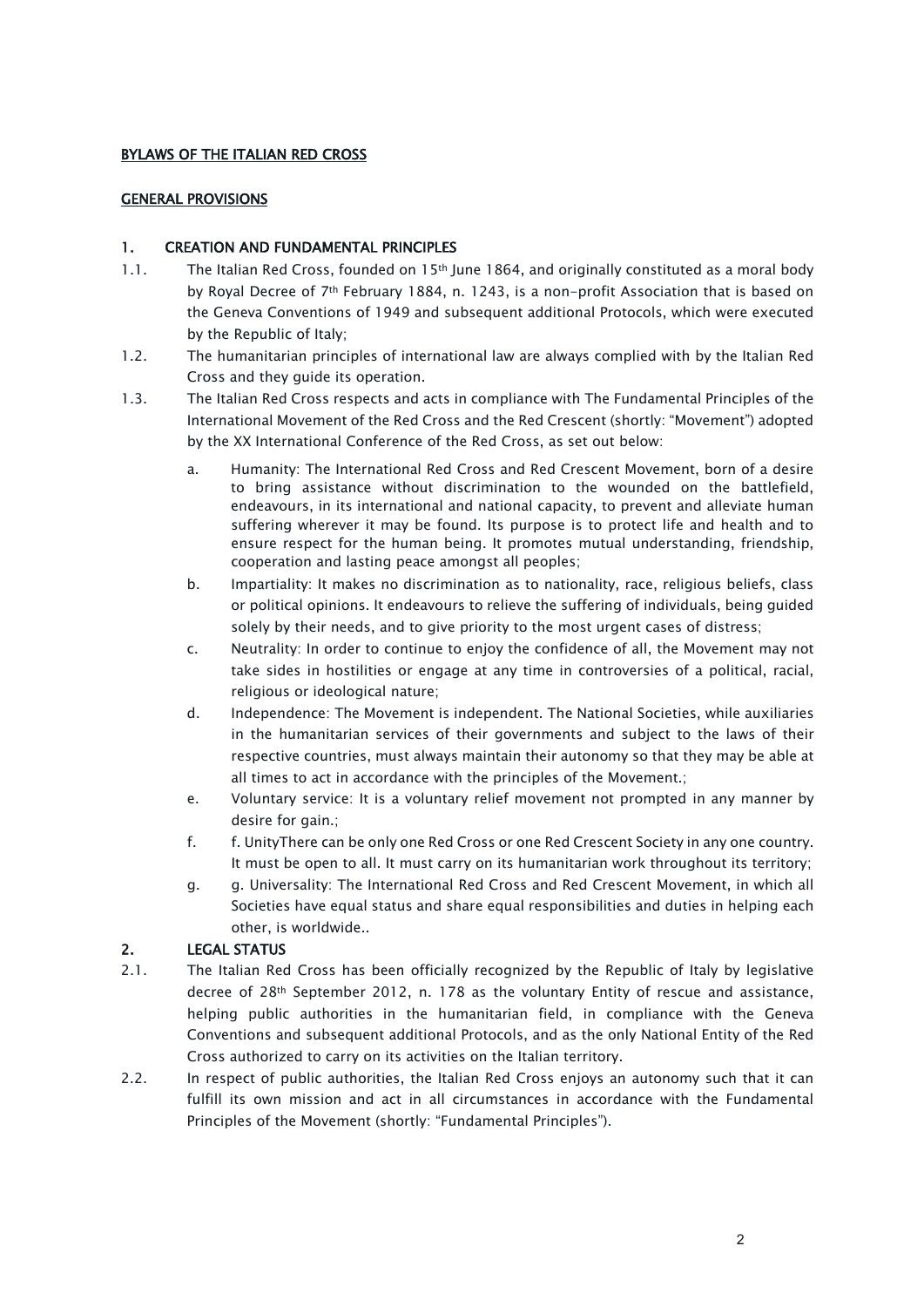### BYLAWS OF THE ITALIAN RED CROSS

### <span id="page-1-1"></span><span id="page-1-0"></span>GENERAL PROVISIONS

# 1. CREATION AND FUNDAMENTAL PRINCIPLES

- 1.1. The Italian Red Cross, founded on 15th June 1864, and originally constituted as a moral body by Royal Decree of 7th February 1884, n. 1243, is a non-profit Association that is based on the Geneva Conventions of 1949 and subsequent additional Protocols, which were executed by the Republic of Italy;
- 1.2. The humanitarian principles of international law are always complied with by the Italian Red Cross and they guide its operation.
- 1.3. The Italian Red Cross respects and acts in compliance with The Fundamental Principles of the International Movement of the Red Cross and the Red Crescent (shortly: "Movement") adopted by the XX International Conference of the Red Cross, as set out below:
	- a. Humanity: The International Red Cross and Red Crescent Movement, born of a desire to bring assistance without discrimination to the wounded on the battlefield, endeavours, in its international and national capacity, to prevent and alleviate human suffering wherever it may be found. Its purpose is to protect life and health and to ensure respect for the human being. It promotes mutual understanding, friendship, cooperation and lasting peace amongst all peoples;
	- b. Impartiality: It makes no discrimination as to nationality, race, religious beliefs, class or political opinions. It endeavours to relieve the suffering of individuals, being guided solely by their needs, and to give priority to the most urgent cases of distress;
	- c. Neutrality: In order to continue to enjoy the confidence of all, the Movement may not take sides in hostilities or engage at any time in controversies of a political, racial, religious or ideological nature;
	- d. Independence: The Movement is independent. The National Societies, while auxiliaries in the humanitarian services of their governments and subject to the laws of their respective countries, must always maintain their autonomy so that they may be able at all times to act in accordance with the principles of the Movement.;
	- e. Voluntary service: It is a voluntary relief movement not prompted in any manner by desire for gain.;
	- f. f. UnityThere can be only one Red Cross or one Red Crescent Society in any one country. It must be open to all. It must carry on its humanitarian work throughout its territory;
	- g. g. Universality: The International Red Cross and Red Crescent Movement, in which all Societies have equal status and share equal responsibilities and duties in helping each other, is worldwide..

# <span id="page-1-2"></span>2. LEGAL STATUS

- 2.1. The Italian Red Cross has been officially recognized by the Republic of Italy by legislative decree of 28th September 2012, n. 178 as the voluntary Entity of rescue and assistance, helping public authorities in the humanitarian field, in compliance with the Geneva Conventions and subsequent additional Protocols, and as the only National Entity of the Red Cross authorized to carry on its activities on the Italian territory.
- 2.2. In respect of public authorities, the Italian Red Cross enjoys an autonomy such that it can fulfill its own mission and act in all circumstances in accordance with the Fundamental Principles of the Movement (shortly: "Fundamental Principles").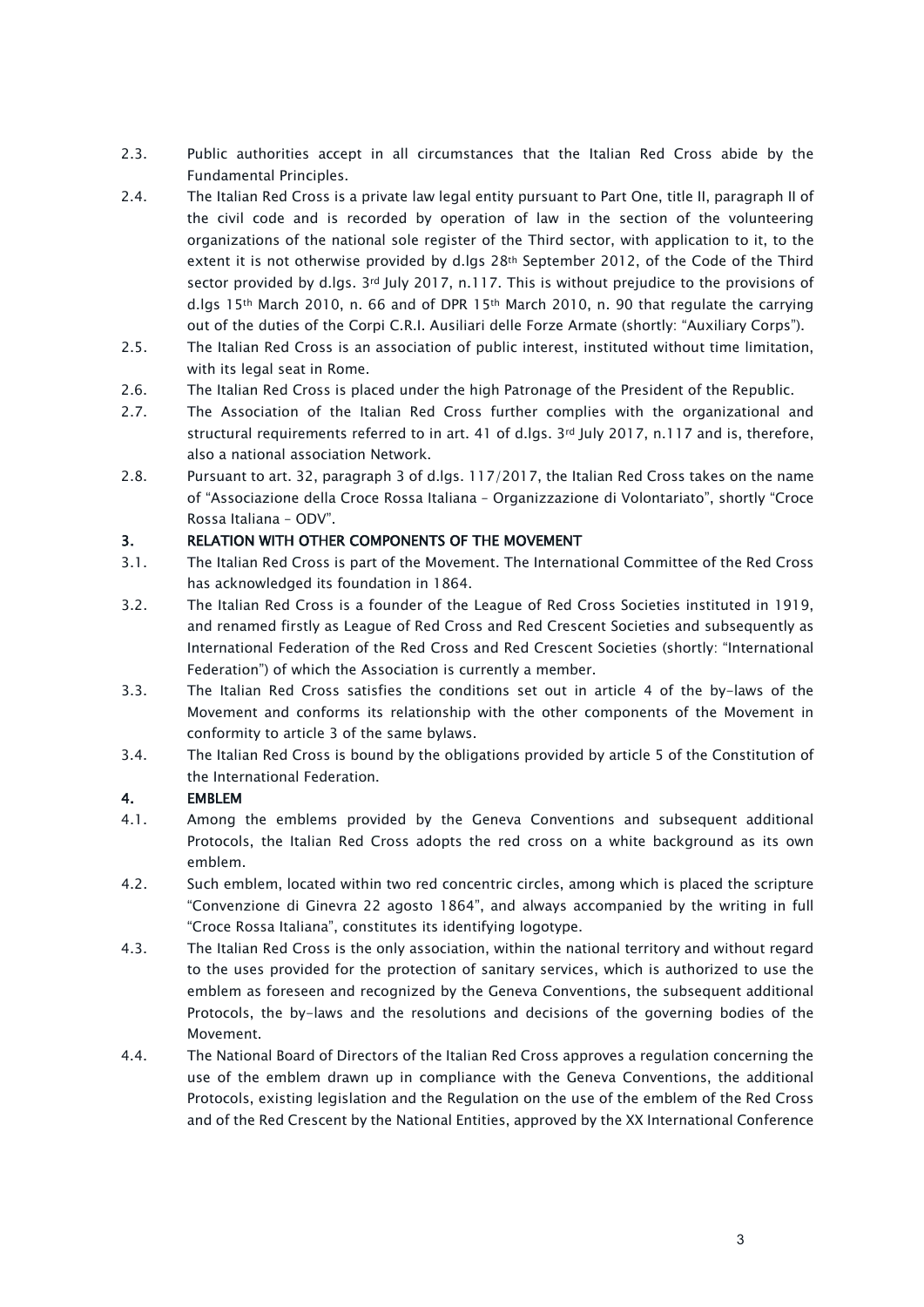- 2.3. Public authorities accept in all circumstances that the Italian Red Cross abide by the Fundamental Principles.
- 2.4. The Italian Red Cross is a private law legal entity pursuant to Part One, title II, paragraph II of the civil code and is recorded by operation of law in the section of the volunteering organizations of the national sole register of the Third sector, with application to it, to the extent it is not otherwise provided by d.lgs 28th September 2012, of the Code of the Third sector provided by d.lgs. 3rd July 2017, n.117. This is without prejudice to the provisions of d.lgs 15<sup>th</sup> March 2010, n. 66 and of DPR 15<sup>th</sup> March 2010, n. 90 that regulate the carrying out of the duties of the Corpi C.R.I. Ausiliari delle Forze Armate (shortly: "Auxiliary Corps").
- 2.5. The Italian Red Cross is an association of public interest, instituted without time limitation, with its legal seat in Rome.
- 2.6. The Italian Red Cross is placed under the high Patronage of the President of the Republic.
- 2.7. The Association of the Italian Red Cross further complies with the organizational and structural requirements referred to in art. 41 of d.lgs. 3rd July 2017, n.117 and is, therefore, also a national association Network.
- 2.8. Pursuant to art. 32, paragraph 3 of d.lgs. 117/2017, the Italian Red Cross takes on the name of "Associazione della Croce Rossa Italiana – Organizzazione di Volontariato", shortly "Croce Rossa Italiana – ODV".

# <span id="page-2-0"></span>3. RELATION WITH OTHER COMPONENTS OF THE MOVEMENT

- 3.1. The Italian Red Cross is part of the Movement. The International Committee of the Red Cross has acknowledged its foundation in 1864.
- 3.2. The Italian Red Cross is a founder of the League of Red Cross Societies instituted in 1919, and renamed firstly as League of Red Cross and Red Crescent Societies and subsequently as International Federation of the Red Cross and Red Crescent Societies (shortly: "International Federation") of which the Association is currently a member.
- 3.3. The Italian Red Cross satisfies the conditions set out in article 4 of the by-laws of the Movement and conforms its relationship with the other components of the Movement in conformity to article 3 of the same bylaws.
- 3.4. The Italian Red Cross is bound by the obligations provided by article 5 of the Constitution of the International Federation.

# <span id="page-2-1"></span>4. EMBLEM

- 4.1. Among the emblems provided by the Geneva Conventions and subsequent additional Protocols, the Italian Red Cross adopts the red cross on a white background as its own emblem.
- 4.2. Such emblem, located within two red concentric circles, among which is placed the scripture "Convenzione di Ginevra 22 agosto 1864", and always accompanied by the writing in full "Croce Rossa Italiana", constitutes its identifying logotype.
- 4.3. The Italian Red Cross is the only association, within the national territory and without regard to the uses provided for the protection of sanitary services, which is authorized to use the emblem as foreseen and recognized by the Geneva Conventions, the subsequent additional Protocols, the by-laws and the resolutions and decisions of the governing bodies of the Movement.
- 4.4. The National Board of Directors of the Italian Red Cross approves a regulation concerning the use of the emblem drawn up in compliance with the Geneva Conventions, the additional Protocols, existing legislation and the Regulation on the use of the emblem of the Red Cross and of the Red Crescent by the National Entities, approved by the XX International Conference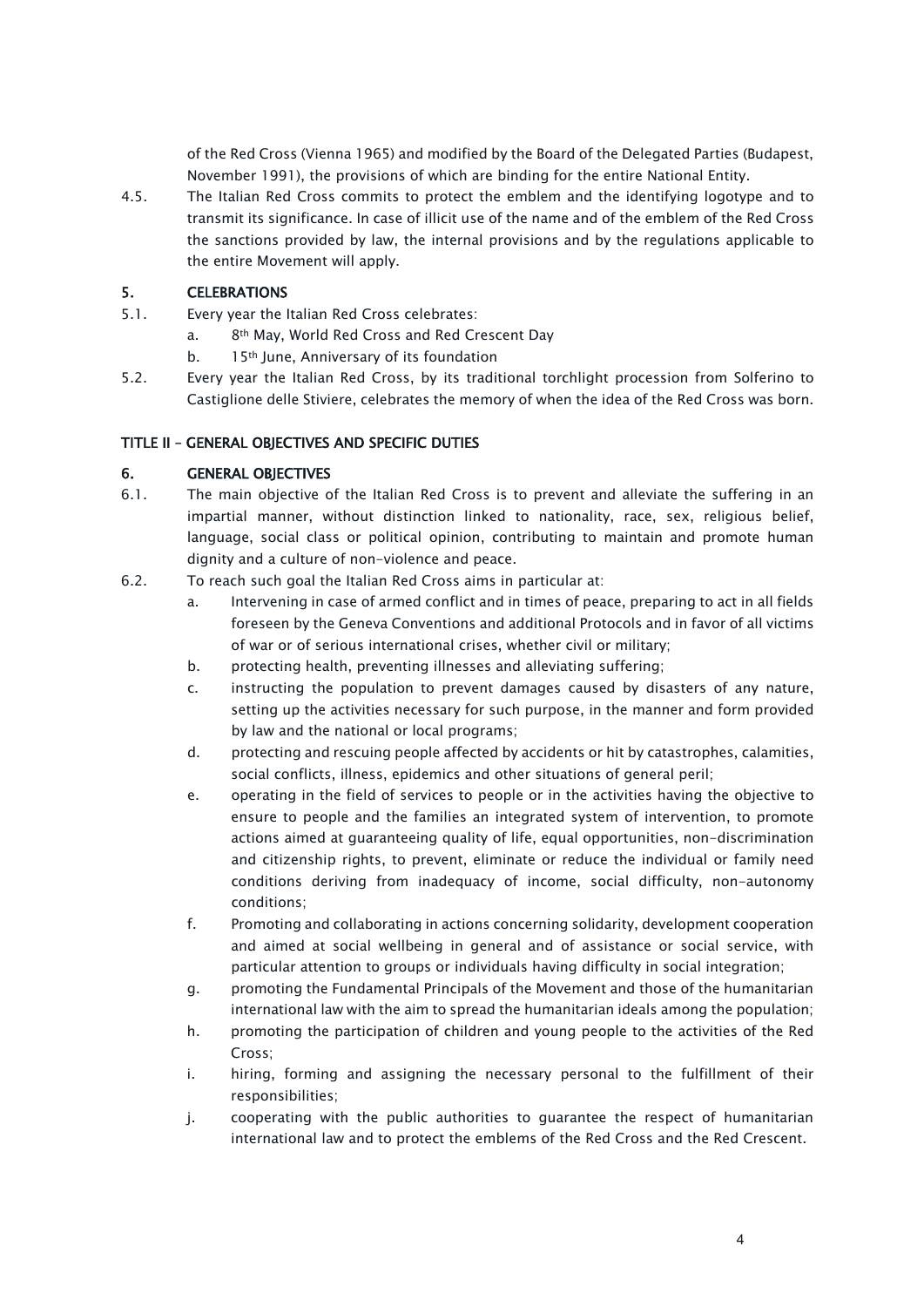of the Red Cross (Vienna 1965) and modified by the Board of the Delegated Parties (Budapest, November 1991), the provisions of which are binding for the entire National Entity.

4.5. The Italian Red Cross commits to protect the emblem and the identifying logotype and to transmit its significance. In case of illicit use of the name and of the emblem of the Red Cross the sanctions provided by law, the internal provisions and by the regulations applicable to the entire Movement will apply.

# <span id="page-3-0"></span>5. CELEBRATIONS

- 5.1. Every year the Italian Red Cross celebrates:
	- a. 8th May, World Red Cross and Red Crescent Day
	- b. 15<sup>th</sup> June, Anniversary of its foundation
- 5.2. Every year the Italian Red Cross, by its traditional torchlight procession from Solferino to Castiglione delle Stiviere, celebrates the memory of when the idea of the Red Cross was born.

# <span id="page-3-1"></span>TITLE II – GENERAL OBJECTIVES AND SPECIFIC DUTIES

# <span id="page-3-2"></span>6. GENERAL OBJECTIVES

- 6.1. The main objective of the Italian Red Cross is to prevent and alleviate the suffering in an impartial manner, without distinction linked to nationality, race, sex, religious belief, language, social class or political opinion, contributing to maintain and promote human dignity and a culture of non-violence and peace.
- 6.2. To reach such goal the Italian Red Cross aims in particular at:
	- a. Intervening in case of armed conflict and in times of peace, preparing to act in all fields foreseen by the Geneva Conventions and additional Protocols and in favor of all victims of war or of serious international crises, whether civil or military;
	- b. protecting health, preventing illnesses and alleviating suffering;
	- c. instructing the population to prevent damages caused by disasters of any nature, setting up the activities necessary for such purpose, in the manner and form provided by law and the national or local programs;
	- d. protecting and rescuing people affected by accidents or hit by catastrophes, calamities, social conflicts, illness, epidemics and other situations of general peril;
	- e. operating in the field of services to people or in the activities having the objective to ensure to people and the families an integrated system of intervention, to promote actions aimed at guaranteeing quality of life, equal opportunities, non-discrimination and citizenship rights, to prevent, eliminate or reduce the individual or family need conditions deriving from inadequacy of income, social difficulty, non-autonomy conditions;
	- f. Promoting and collaborating in actions concerning solidarity, development cooperation and aimed at social wellbeing in general and of assistance or social service, with particular attention to groups or individuals having difficulty in social integration;
	- g. promoting the Fundamental Principals of the Movement and those of the humanitarian international law with the aim to spread the humanitarian ideals among the population;
	- h. promoting the participation of children and young people to the activities of the Red Cross;
	- i. hiring, forming and assigning the necessary personal to the fulfillment of their responsibilities;
	- j. cooperating with the public authorities to guarantee the respect of humanitarian international law and to protect the emblems of the Red Cross and the Red Crescent.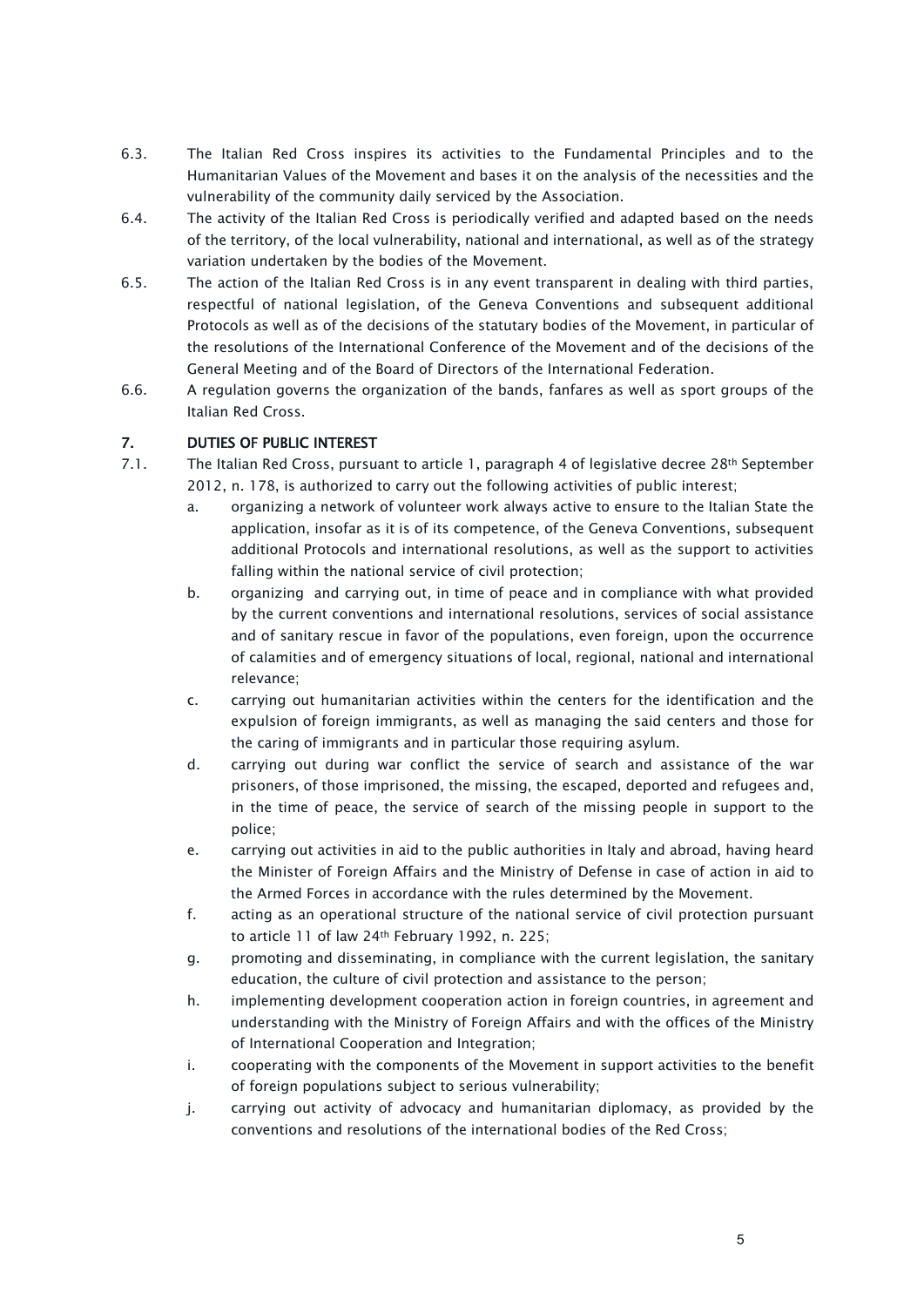- 6.3. The Italian Red Cross inspires its activities to the Fundamental Principles and to the Humanitarian Values of the Movement and bases it on the analysis of the necessities and the vulnerability of the community daily serviced by the Association.
- 6.4. The activity of the Italian Red Cross is periodically verified and adapted based on the needs of the territory, of the local vulnerability, national and international, as well as of the strategy variation undertaken by the bodies of the Movement.
- 6.5. The action of the Italian Red Cross is in any event transparent in dealing with third parties, respectful of national legislation, of the Geneva Conventions and subsequent additional Protocols as well as of the decisions of the statutary bodies of the Movement, in particular of the resolutions of the International Conference of the Movement and of the decisions of the General Meeting and of the Board of Directors of the International Federation.
- 6.6. A regulation governs the organization of the bands, fanfares as well as sport groups of the Italian Red Cross.

# <span id="page-4-0"></span>7. DUTIES OF PUBLIC INTEREST

- 7.1. The Italian Red Cross, pursuant to article 1, paragraph 4 of legislative decree 28th September 2012, n. 178, is authorized to carry out the following activities of public interest;
	- a. organizing a network of volunteer work always active to ensure to the Italian State the application, insofar as it is of its competence, of the Geneva Conventions, subsequent additional Protocols and international resolutions, as well as the support to activities falling within the national service of civil protection;
	- b. organizing and carrying out, in time of peace and in compliance with what provided by the current conventions and international resolutions, services of social assistance and of sanitary rescue in favor of the populations, even foreign, upon the occurrence of calamities and of emergency situations of local, regional, national and international relevance;
	- c. carrying out humanitarian activities within the centers for the identification and the expulsion of foreign immigrants, as well as managing the said centers and those for the caring of immigrants and in particular those requiring asylum.
	- d. carrying out during war conflict the service of search and assistance of the war prisoners, of those imprisoned, the missing, the escaped, deported and refugees and, in the time of peace, the service of search of the missing people in support to the police;
	- e. carrying out activities in aid to the public authorities in Italy and abroad, having heard the Minister of Foreign Affairs and the Ministry of Defense in case of action in aid to the Armed Forces in accordance with the rules determined by the Movement.
	- f. acting as an operational structure of the national service of civil protection pursuant to article 11 of law 24th February 1992, n. 225;
	- g. promoting and disseminating, in compliance with the current legislation, the sanitary education, the culture of civil protection and assistance to the person;
	- h. implementing development cooperation action in foreign countries, in agreement and understanding with the Ministry of Foreign Affairs and with the offices of the Ministry of International Cooperation and Integration;
	- i. cooperating with the components of the Movement in support activities to the benefit of foreign populations subject to serious vulnerability;
	- j. carrying out activity of advocacy and humanitarian diplomacy, as provided by the conventions and resolutions of the international bodies of the Red Cross;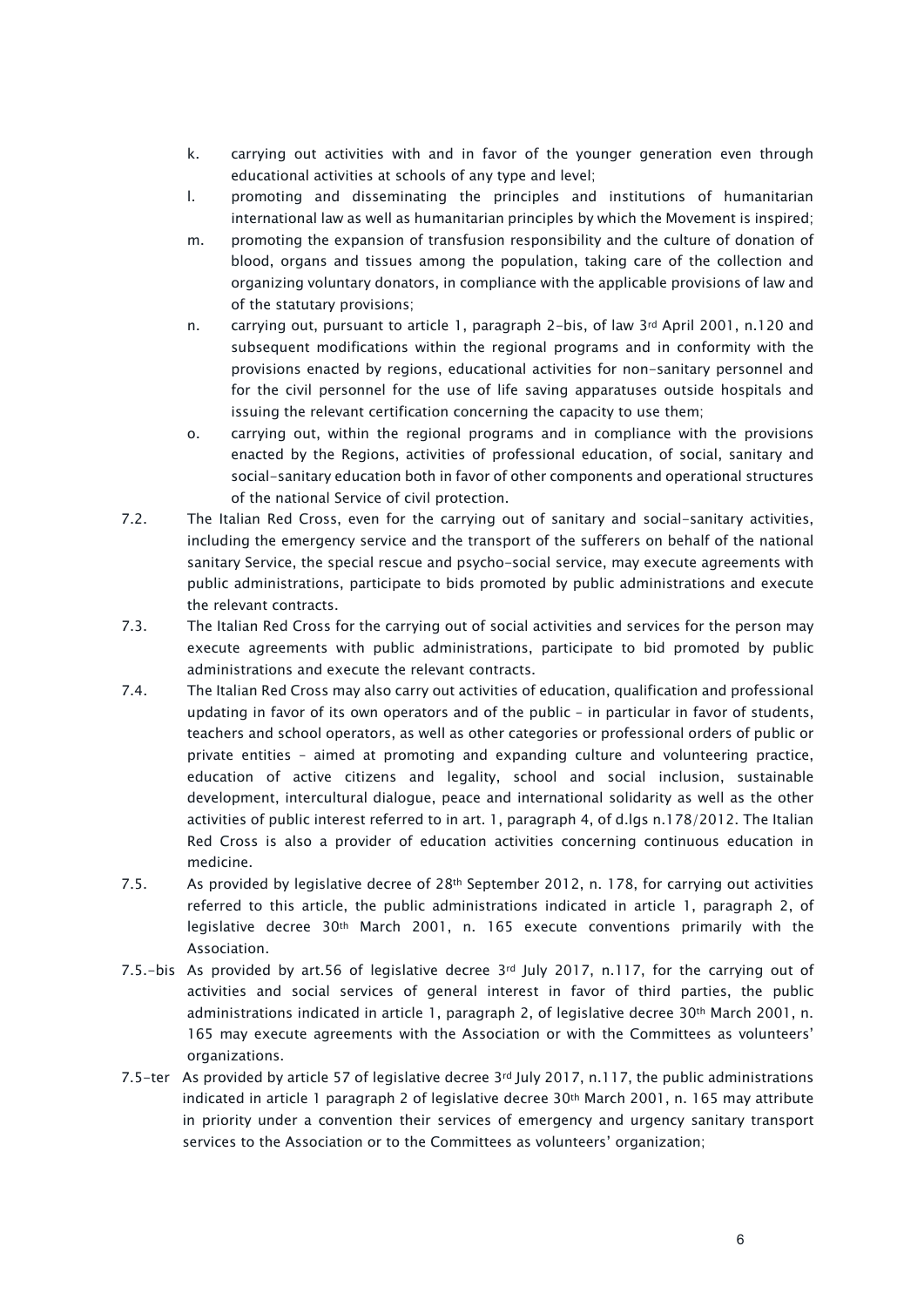- k. carrying out activities with and in favor of the younger generation even through educational activities at schools of any type and level;
- l. promoting and disseminating the principles and institutions of humanitarian international law as well as humanitarian principles by which the Movement is inspired;
- m. promoting the expansion of transfusion responsibility and the culture of donation of blood, organs and tissues among the population, taking care of the collection and organizing voluntary donators, in compliance with the applicable provisions of law and of the statutary provisions;
- n. carrying out, pursuant to article 1, paragraph 2-bis, of law  $3<sup>rd</sup>$  April 2001, n.120 and subsequent modifications within the regional programs and in conformity with the provisions enacted by regions, educational activities for non-sanitary personnel and for the civil personnel for the use of life saving apparatuses outside hospitals and issuing the relevant certification concerning the capacity to use them;
- o. carrying out, within the regional programs and in compliance with the provisions enacted by the Regions, activities of professional education, of social, sanitary and social-sanitary education both in favor of other components and operational structures of the national Service of civil protection.
- 7.2. The Italian Red Cross, even for the carrying out of sanitary and social-sanitary activities, including the emergency service and the transport of the sufferers on behalf of the national sanitary Service, the special rescue and psycho-social service, may execute agreements with public administrations, participate to bids promoted by public administrations and execute the relevant contracts.
- 7.3. The Italian Red Cross for the carrying out of social activities and services for the person may execute agreements with public administrations, participate to bid promoted by public administrations and execute the relevant contracts.
- 7.4. The Italian Red Cross may also carry out activities of education, qualification and professional updating in favor of its own operators and of the public – in particular in favor of students, teachers and school operators, as well as other categories or professional orders of public or private entities – aimed at promoting and expanding culture and volunteering practice, education of active citizens and legality, school and social inclusion, sustainable development, intercultural dialogue, peace and international solidarity as well as the other activities of public interest referred to in art. 1, paragraph 4, of d.lgs n.178/2012. The Italian Red Cross is also a provider of education activities concerning continuous education in medicine.
- 7.5. As provided by legislative decree of 28th September 2012, n. 178, for carrying out activities referred to this article, the public administrations indicated in article 1, paragraph 2, of legislative decree 30th March 2001, n. 165 execute conventions primarily with the Association.
- 7.5.-bis As provided by art.56 of legislative decree  $3<sup>rd</sup>$  July 2017, n.117, for the carrying out of activities and social services of general interest in favor of third parties, the public administrations indicated in article 1, paragraph 2, of legislative decree 30th March 2001, n. 165 may execute agreements with the Association or with the Committees as volunteers' organizations.
- 7.5-ter As provided by article 57 of legislative decree 3rd July 2017, n.117, the public administrations indicated in article 1 paragraph 2 of legislative decree 30th March 2001, n. 165 may attribute in priority under a convention their services of emergency and urgency sanitary transport services to the Association or to the Committees as volunteers' organization;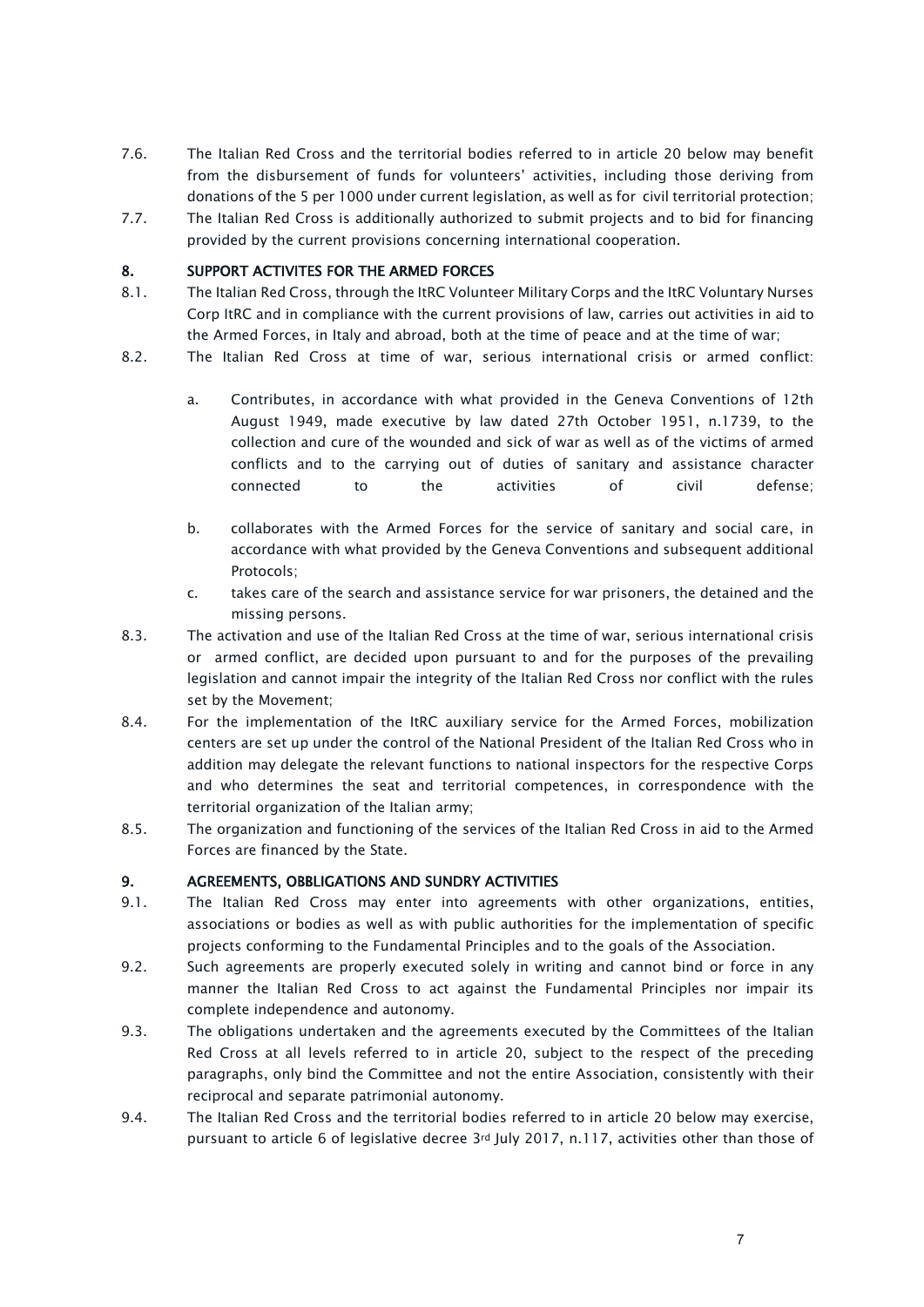- 7.6. The Italian Red Cross and the territorial bodies referred to in article 20 below may benefit from the disbursement of funds for volunteers' activities, including those deriving from donations of the 5 per 1000 under current legislation, as well as for civil territorial protection;
- 7.7. The Italian Red Cross is additionally authorized to submit projects and to bid for financing provided by the current provisions concerning international cooperation.

### <span id="page-6-0"></span>8. SUPPORT ACTIVITES FOR THE ARMED FORCES

- 8.1. The Italian Red Cross, through the ItRC Volunteer Military Corps and the ItRC Voluntary Nurses Corp ItRC and in compliance with the current provisions of law, carries out activities in aid to the Armed Forces, in Italy and abroad, both at the time of peace and at the time of war;
- 8.2. The Italian Red Cross at time of war, serious international crisis or armed conflict:
	- a. Contributes, in accordance with what provided in the Geneva Conventions of 12th August 1949, made executive by law dated 27th October 1951, n.1739, to the collection and cure of the wounded and sick of war as well as of the victims of armed conflicts and to the carrying out of duties of sanitary and assistance character connected to the activities of civil defense;
	- b. collaborates with the Armed Forces for the service of sanitary and social care, in accordance with what provided by the Geneva Conventions and subsequent additional Protocols;
	- c. takes care of the search and assistance service for war prisoners, the detained and the missing persons.
- 8.3. The activation and use of the Italian Red Cross at the time of war, serious international crisis or armed conflict, are decided upon pursuant to and for the purposes of the prevailing legislation and cannot impair the integrity of the Italian Red Cross nor conflict with the rules set by the Movement;
- 8.4. For the implementation of the ItRC auxiliary service for the Armed Forces, mobilization centers are set up under the control of the National President of the Italian Red Cross who in addition may delegate the relevant functions to national inspectors for the respective Corps and who determines the seat and territorial competences, in correspondence with the territorial organization of the Italian army;
- 8.5. The organization and functioning of the services of the Italian Red Cross in aid to the Armed Forces are financed by the State.

### <span id="page-6-1"></span>9. AGREEMENTS, OBBLIGATIONS AND SUNDRY ACTIVITIES

- 9.1. The Italian Red Cross may enter into agreements with other organizations, entities, associations or bodies as well as with public authorities for the implementation of specific projects conforming to the Fundamental Principles and to the goals of the Association.
- 9.2. Such agreements are properly executed solely in writing and cannot bind or force in any manner the Italian Red Cross to act against the Fundamental Principles nor impair its complete independence and autonomy.
- 9.3. The obligations undertaken and the agreements executed by the Committees of the Italian Red Cross at all levels referred to in article 20, subject to the respect of the preceding paragraphs, only bind the Committee and not the entire Association, consistently with their reciprocal and separate patrimonial autonomy.
- 9.4. The Italian Red Cross and the territorial bodies referred to in article 20 below may exercise, pursuant to article 6 of legislative decree 3rd July 2017, n.117, activities other than those of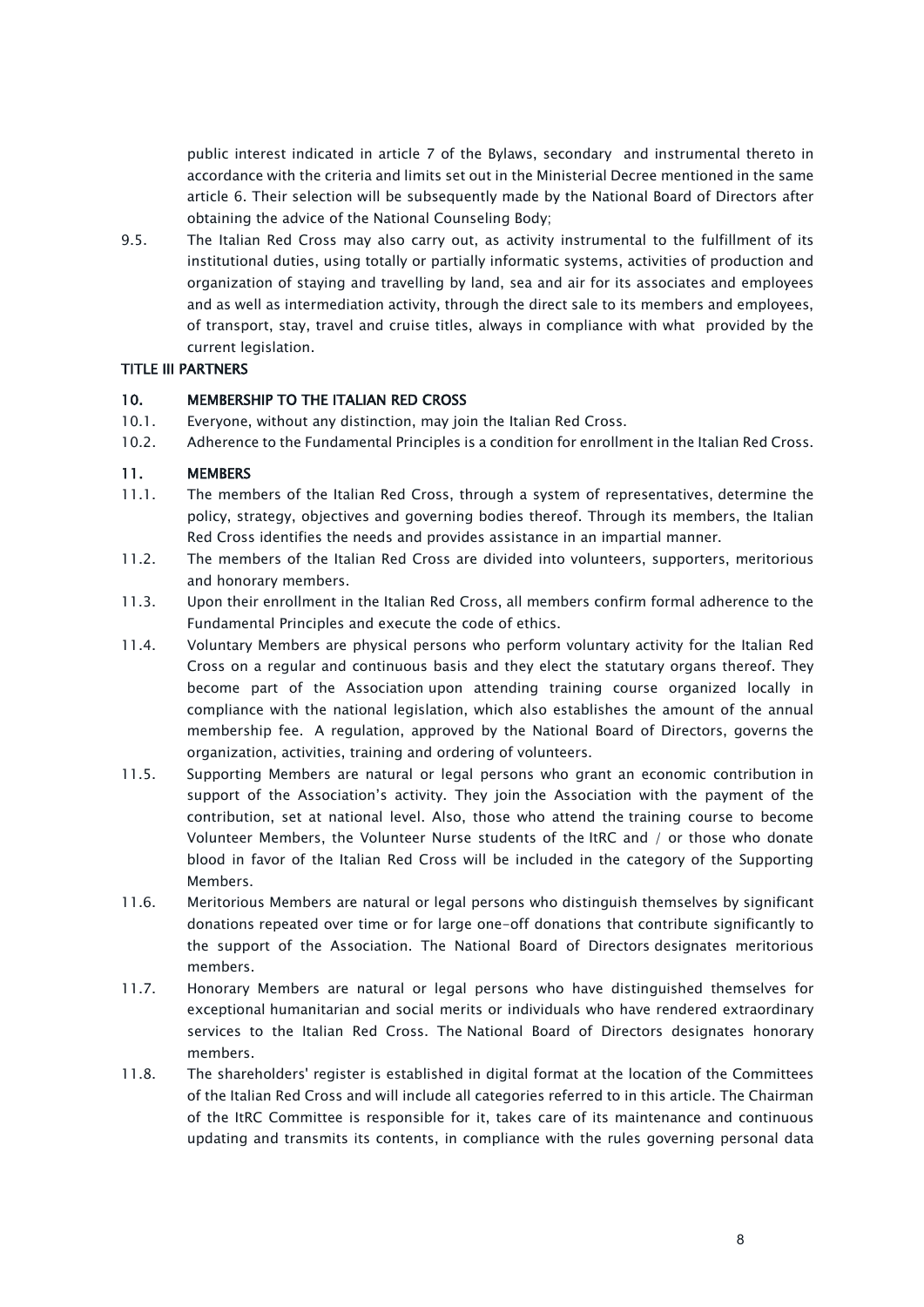public interest indicated in article 7 of the Bylaws, secondary and instrumental thereto in accordance with the criteria and limits set out in the Ministerial Decree mentioned in the same article 6. Their selection will be subsequently made by the National Board of Directors after obtaining the advice of the National Counseling Body;

9.5. The Italian Red Cross may also carry out, as activity instrumental to the fulfillment of its institutional duties, using totally or partially informatic systems, activities of production and organization of staying and travelling by land, sea and air for its associates and employees and as well as intermediation activity, through the direct sale to its members and employees, of transport, stay, travel and cruise titles, always in compliance with what provided by the current legislation.

# <span id="page-7-0"></span>TITLE III PARTNERS

#### <span id="page-7-1"></span>10. MEMBERSHIP TO THE ITALIAN RED CROSS

- 10.1. Everyone, without any distinction, may join the Italian Red Cross.
- 10.2. Adherence to the Fundamental Principles is a condition for enrollment in the Italian Red Cross.

#### <span id="page-7-2"></span>11. MEMBERS

- 11.1. The members of the Italian Red Cross, through a system of representatives, determine the policy, strategy, objectives and governing bodies thereof. Through its members, the Italian Red Cross identifies the needs and provides assistance in an impartial manner.
- 11.2. The members of the Italian Red Cross are divided into volunteers, supporters, meritorious and honorary members.
- 11.3. Upon their enrollment in the Italian Red Cross, all members confirm formal adherence to the Fundamental Principles and execute the code of ethics.
- 11.4. Voluntary Members are physical persons who perform voluntary activity for the Italian Red Cross on a regular and continuous basis and they elect the statutary organs thereof. They become part of the Association upon attending training course organized locally in compliance with the national legislation, which also establishes the amount of the annual membership fee. A regulation, approved by the National Board of Directors, governs the organization, activities, training and ordering of volunteers.
- 11.5. Supporting Members are natural or legal persons who grant an economic contribution in support of the Association's activity. They join the Association with the payment of the contribution, set at national level. Also, those who attend the training course to become Volunteer Members, the Volunteer Nurse students of the ItRC and / or those who donate blood in favor of the Italian Red Cross will be included in the category of the Supporting Members.
- 11.6. Meritorious Members are natural or legal persons who distinguish themselves by significant donations repeated over time or for large one-off donations that contribute significantly to the support of the Association. The National Board of Directors designates meritorious members.
- 11.7. Honorary Members are natural or legal persons who have distinguished themselves for exceptional humanitarian and social merits or individuals who have rendered extraordinary services to the Italian Red Cross. The National Board of Directors designates honorary members.
- 11.8. The shareholders' register is established in digital format at the location of the Committees of the Italian Red Cross and will include all categories referred to in this article. The Chairman of the ItRC Committee is responsible for it, takes care of its maintenance and continuous updating and transmits its contents, in compliance with the rules governing personal data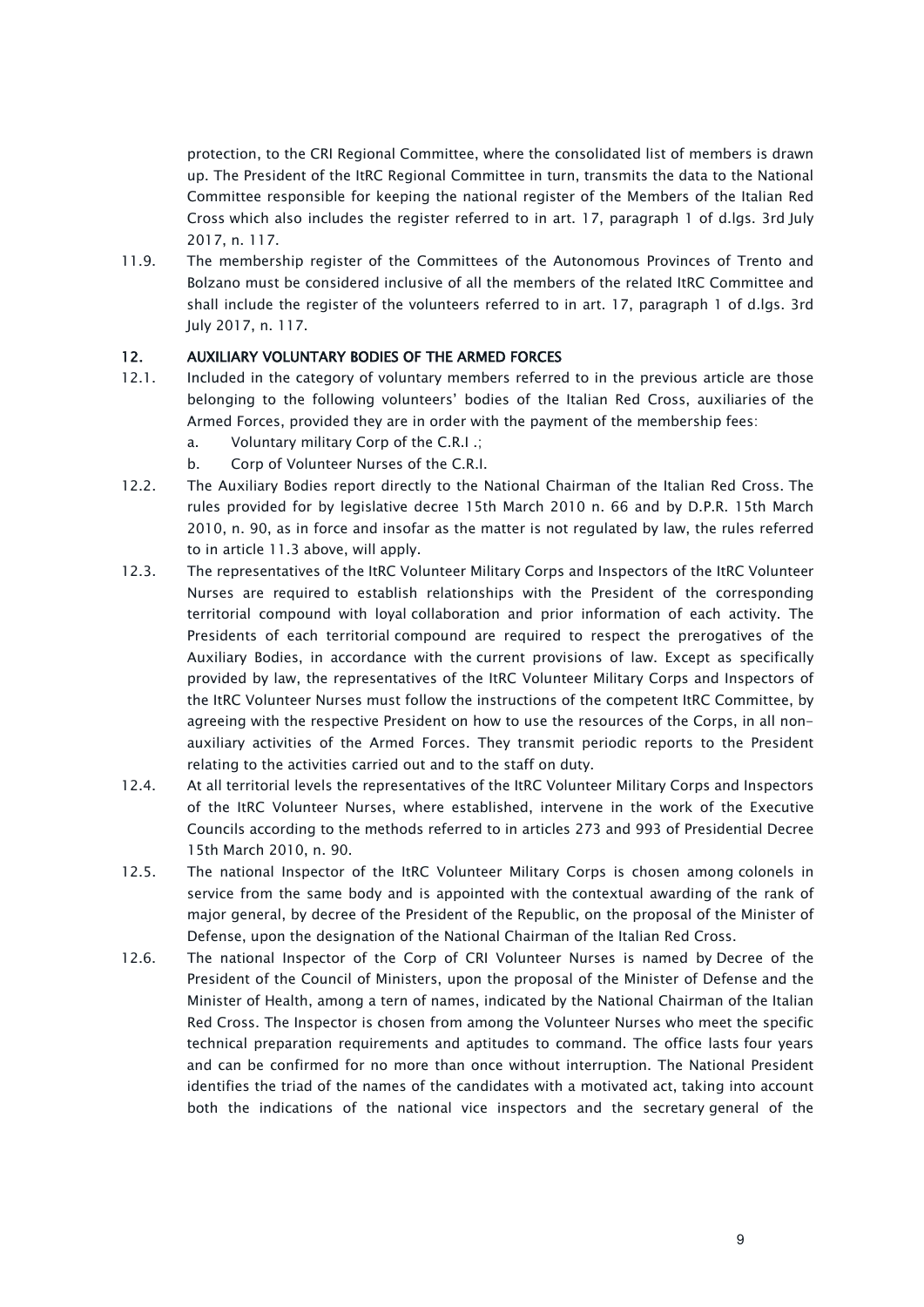protection, to the CRI Regional Committee, where the consolidated list of members is drawn up. The President of the ItRC Regional Committee in turn, transmits the data to the National Committee responsible for keeping the national register of the Members of the Italian Red Cross which also includes the register referred to in art. 17, paragraph 1 of d.lgs. 3rd July 2017, n. 117.

11.9. The membership register of the Committees of the Autonomous Provinces of Trento and Bolzano must be considered inclusive of all the members of the related ItRC Committee and shall include the register of the volunteers referred to in art. 17, paragraph 1 of d.lgs. 3rd July 2017, n. 117.

### <span id="page-8-0"></span>12. AUXILIARY VOLUNTARY BODIES OF THE ARMED FORCES

- 12.1. Included in the category of voluntary members referred to in the previous article are those belonging to the following volunteers' bodies of the Italian Red Cross, auxiliaries of the Armed Forces, provided they are in order with the payment of the membership fees:
	- a. Voluntary military Corp of the C.R.I .;
	- b. Corp of Volunteer Nurses of the C.R.I.
- 12.2. The Auxiliary Bodies report directly to the National Chairman of the Italian Red Cross. The rules provided for by legislative decree 15th March 2010 n. 66 and by D.P.R. 15th March 2010, n. 90, as in force and insofar as the matter is not regulated by law, the rules referred to in article 11.3 above, will apply.
- 12.3. The representatives of the ItRC Volunteer Military Corps and Inspectors of the ItRC Volunteer Nurses are required to establish relationships with the President of the corresponding territorial compound with loyal collaboration and prior information of each activity. The Presidents of each territorial compound are required to respect the prerogatives of the Auxiliary Bodies, in accordance with the current provisions of law. Except as specifically provided by law, the representatives of the ItRC Volunteer Military Corps and Inspectors of the ItRC Volunteer Nurses must follow the instructions of the competent ItRC Committee, by agreeing with the respective President on how to use the resources of the Corps, in all nonauxiliary activities of the Armed Forces. They transmit periodic reports to the President relating to the activities carried out and to the staff on duty.
- 12.4. At all territorial levels the representatives of the ItRC Volunteer Military Corps and Inspectors of the ItRC Volunteer Nurses, where established, intervene in the work of the Executive Councils according to the methods referred to in articles 273 and 993 of Presidential Decree 15th March 2010, n. 90.
- 12.5. The national Inspector of the ItRC Volunteer Military Corps is chosen among colonels in service from the same body and is appointed with the contextual awarding of the rank of major general, by decree of the President of the Republic, on the proposal of the Minister of Defense, upon the designation of the National Chairman of the Italian Red Cross.
- 12.6. The national Inspector of the Corp of CRI Volunteer Nurses is named by Decree of the President of the Council of Ministers, upon the proposal of the Minister of Defense and the Minister of Health, among a tern of names, indicated by the National Chairman of the Italian Red Cross. The Inspector is chosen from among the Volunteer Nurses who meet the specific technical preparation requirements and aptitudes to command. The office lasts four years and can be confirmed for no more than once without interruption. The National President identifies the triad of the names of the candidates with a motivated act, taking into account both the indications of the national vice inspectors and the secretary general of the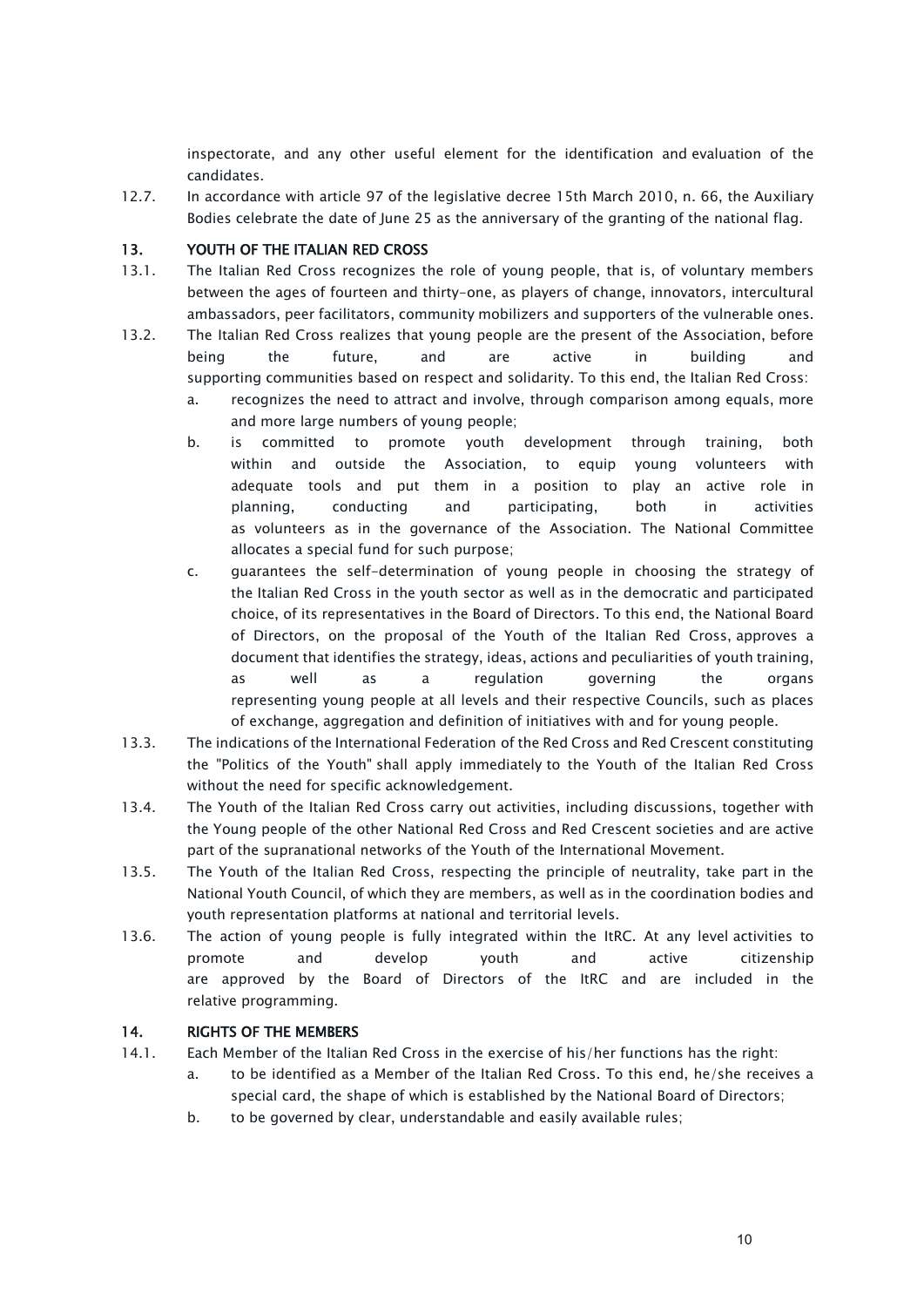inspectorate, and any other useful element for the identification and evaluation of the candidates.

12.7. In accordance with article 97 of the legislative decree 15th March 2010, n. 66, the Auxiliary Bodies celebrate the date of June 25 as the anniversary of the granting of the national flag.

### <span id="page-9-0"></span>13. YOUTH OF THE ITALIAN RED CROSS

- 13.1. The Italian Red Cross recognizes the role of young people, that is, of voluntary members between the ages of fourteen and thirty-one, as players of change, innovators, intercultural ambassadors, peer facilitators, community mobilizers and supporters of the vulnerable ones.
- 13.2. The Italian Red Cross realizes that young people are the present of the Association, before being the future, and are active in building and supporting communities based on respect and solidarity. To this end, the Italian Red Cross:
	- a. recognizes the need to attract and involve, through comparison among equals, more and more large numbers of young people;
	- b. is committed to promote youth development through training, both within and outside the Association, to equip young volunteers with adequate tools and put them in a position to play an active role in planning, conducting and participating, both in activities as volunteers as in the governance of the Association. The National Committee allocates a special fund for such purpose;
	- c. guarantees the self-determination of young people in choosing the strategy of the Italian Red Cross in the youth sector as well as in the democratic and participated choice, of its representatives in the Board of Directors. To this end, the National Board of Directors, on the proposal of the Youth of the Italian Red Cross, approves a document that identifies the strategy, ideas, actions and peculiarities of youth training, as well as a regulation governing the organs representing young people at all levels and their respective Councils, such as places of exchange, aggregation and definition of initiatives with and for young people.
- 13.3. The indications of the International Federation of the Red Cross and Red Crescent constituting the "Politics of the Youth" shall apply immediately to the Youth of the Italian Red Cross without the need for specific acknowledgement.
- 13.4. The Youth of the Italian Red Cross carry out activities, including discussions, together with the Young people of the other National Red Cross and Red Crescent societies and are active part of the supranational networks of the Youth of the International Movement.
- 13.5. The Youth of the Italian Red Cross, respecting the principle of neutrality, take part in the National Youth Council, of which they are members, as well as in the coordination bodies and youth representation platforms at national and territorial levels.
- 13.6. The action of young people is fully integrated within the ItRC. At any level activities to promote and develop youth and active citizenship are approved by the Board of Directors of the ItRC and are included in the relative programming.

### <span id="page-9-1"></span>14. RIGHTS OF THE MEMBERS

- 14.1. Each Member of the Italian Red Cross in the exercise of his/her functions has the right:
	- a. to be identified as a Member of the Italian Red Cross. To this end, he/she receives a special card, the shape of which is established by the National Board of Directors;
	- b. to be governed by clear, understandable and easily available rules;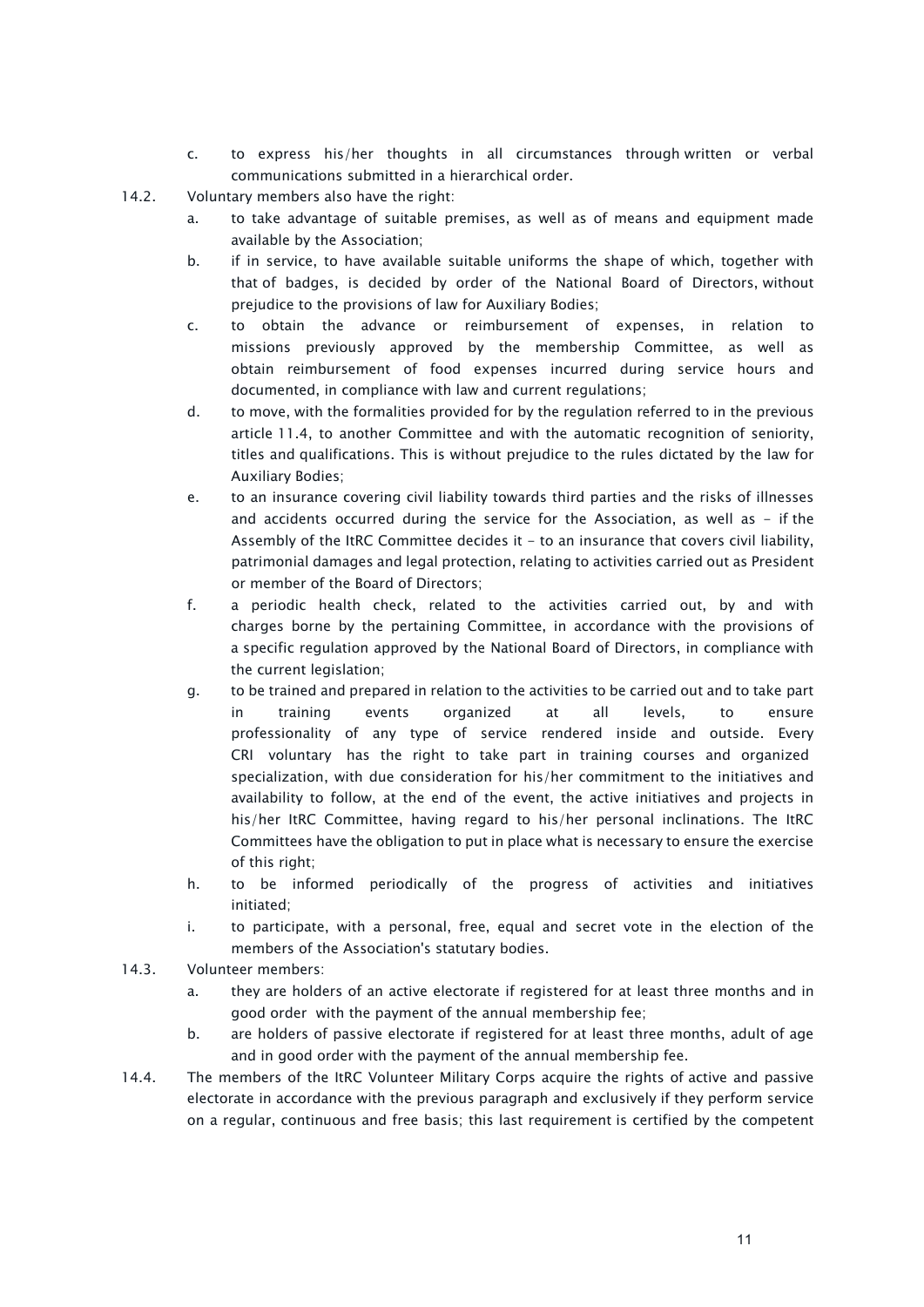- c. to express his/her thoughts in all circumstances through written or verbal communications submitted in a hierarchical order.
- 14.2. Voluntary members also have the right:
	- a. to take advantage of suitable premises, as well as of means and equipment made available by the Association;
	- b. if in service, to have available suitable uniforms the shape of which, together with that of badges, is decided by order of the National Board of Directors, without prejudice to the provisions of law for Auxiliary Bodies;
	- c. to obtain the advance or reimbursement of expenses, in relation to missions previously approved by the membership Committee, as well as obtain reimbursement of food expenses incurred during service hours and documented, in compliance with law and current regulations;
	- d. to move, with the formalities provided for by the regulation referred to in the previous article 11.4, to another Committee and with the automatic recognition of seniority, titles and qualifications. This is without prejudice to the rules dictated by the law for Auxiliary Bodies;
	- e. to an insurance covering civil liability towards third parties and the risks of illnesses and accidents occurred during the service for the Association, as well as  $-$  if the Assembly of the ItRC Committee decides it  $-$  to an insurance that covers civil liability, patrimonial damages and legal protection, relating to activities carried out as President or member of the Board of Directors;
	- f. a periodic health check, related to the activities carried out, by and with charges borne by the pertaining Committee, in accordance with the provisions of a specific regulation approved by the National Board of Directors, in compliance with the current legislation;
	- g. to be trained and prepared in relation to the activities to be carried out and to take part in training events organized at all levels, to ensure professionality of any type of service rendered inside and outside. Every CRI voluntary has the right to take part in training courses and organized specialization, with due consideration for his/her commitment to the initiatives and availability to follow, at the end of the event, the active initiatives and projects in his/her ItRC Committee, having regard to his/her personal inclinations. The ItRC Committees have the obligation to put in place what is necessary to ensure the exercise of this right;
	- h. to be informed periodically of the progress of activities and initiatives initiated;
	- i. to participate, with a personal, free, equal and secret vote in the election of the members of the Association's statutary bodies.
- 14.3. Volunteer members:
	- a. they are holders of an active electorate if registered for at least three months and in good order with the payment of the annual membership fee;
	- b. are holders of passive electorate if registered for at least three months, adult of age and in good order with the payment of the annual membership fee.
- 14.4. The members of the ItRC Volunteer Military Corps acquire the rights of active and passive electorate in accordance with the previous paragraph and exclusively if they perform service on a regular, continuous and free basis; this last requirement is certified by the competent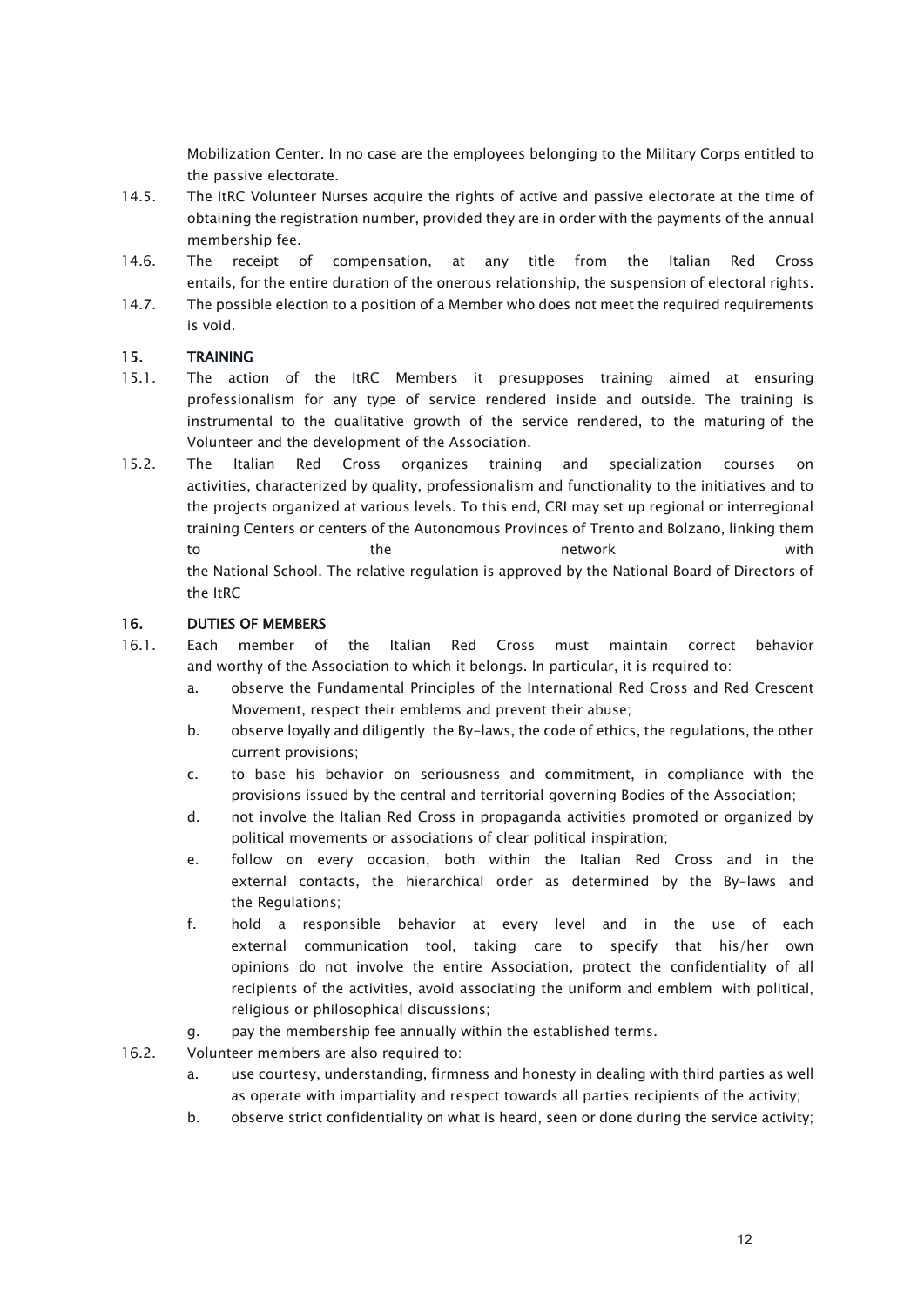Mobilization Center. In no case are the employees belonging to the Military Corps entitled to the passive electorate.

- 14.5. The ItRC Volunteer Nurses acquire the rights of active and passive electorate at the time of obtaining the registration number, provided they are in order with the payments of the annual membership fee.
- 14.6. The receipt of compensation, at any title from the Italian Red Cross entails, for the entire duration of the onerous relationship, the suspension of electoral rights.
- 14.7. The possible election to a position of a Member who does not meet the required requirements is void.

### <span id="page-11-0"></span>15. TRAINING

- 15.1. The action of the ItRC Members it presupposes training aimed at ensuring professionalism for any type of service rendered inside and outside. The training is instrumental to the qualitative growth of the service rendered, to the maturing of the Volunteer and the development of the Association.
- 15.2. The Italian Red Cross organizes training and specialization courses on activities, characterized by quality, professionalism and functionality to the initiatives and to the projects organized at various levels. To this end, CRI may set up regional or interregional training Centers or centers of the Autonomous Provinces of Trento and Bolzano, linking them to the the network the network with the National School. The relative regulation is approved by the National Board of Directors of the ItRC

# <span id="page-11-1"></span>16. DUTIES OF MEMBERS

- 16.1. Each member of the Italian Red Cross must maintain correct behavior and worthy of the Association to which it belongs. In particular, it is required to:
	- a. observe the Fundamental Principles of the International Red Cross and Red Crescent Movement, respect their emblems and prevent their abuse;
	- b. observe loyally and diligently the By-laws, the code of ethics, the regulations, the other current provisions;
	- c. to base his behavior on seriousness and commitment, in compliance with the provisions issued by the central and territorial governing Bodies of the Association;
	- d. not involve the Italian Red Cross in propaganda activities promoted or organized by political movements or associations of clear political inspiration;
	- e. follow on every occasion, both within the Italian Red Cross and in the external contacts, the hierarchical order as determined by the By-laws and the Regulations;
	- f. hold a responsible behavior at every level and in the use of each external communication tool, taking care to specify that his/her own opinions do not involve the entire Association, protect the confidentiality of all recipients of the activities, avoid associating the uniform and emblem with political, religious or philosophical discussions;
	- g. pay the membership fee annually within the established terms.
- 16.2. Volunteer members are also required to:
	- a. use courtesy, understanding, firmness and honesty in dealing with third parties as well as operate with impartiality and respect towards all parties recipients of the activity;
	- b. observe strict confidentiality on what is heard, seen or done during the service activity;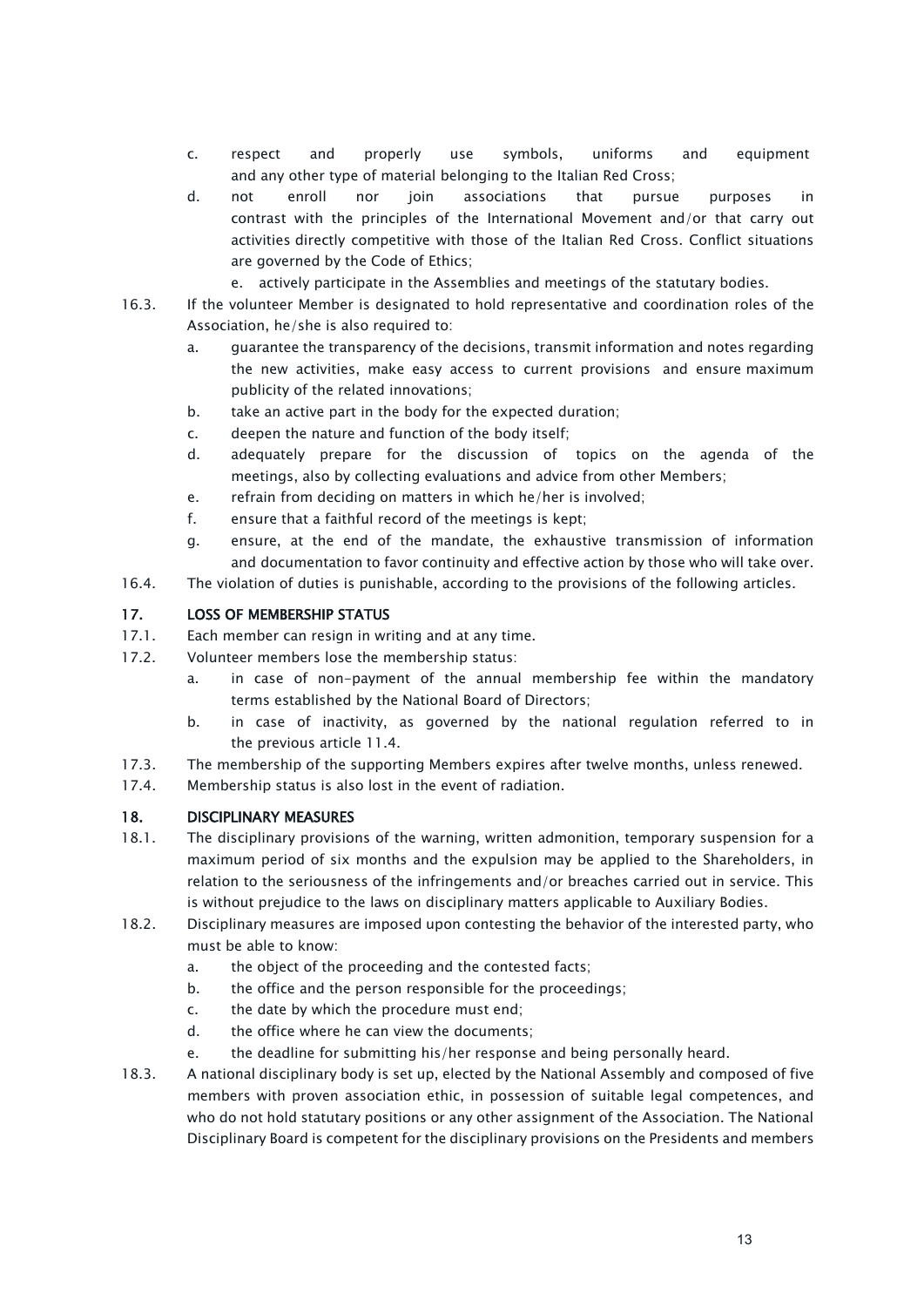- c. respect and properly use symbols, uniforms and equipment and any other type of material belonging to the Italian Red Cross;
- d. not enroll nor join associations that pursue purposes in contrast with the principles of the International Movement and/or that carry out activities directly competitive with those of the Italian Red Cross. Conflict situations are governed by the Code of Ethics;
	- e. actively participate in the Assemblies and meetings of the statutary bodies.
- 16.3. If the volunteer Member is designated to hold representative and coordination roles of the Association, he/she is also required to:
	- a. guarantee the transparency of the decisions, transmit information and notes regarding the new activities, make easy access to current provisions and ensure maximum publicity of the related innovations;
	- b. take an active part in the body for the expected duration;
	- c. deepen the nature and function of the body itself;
	- d. adequately prepare for the discussion of topics on the agenda of the meetings, also by collecting evaluations and advice from other Members;
	- e. refrain from deciding on matters in which he/her is involved;
	- f. ensure that a faithful record of the meetings is kept;
	- g. ensure, at the end of the mandate, the exhaustive transmission of information and documentation to favor continuity and effective action by those who will take over.
- 16.4. The violation of duties is punishable, according to the provisions of the following articles.

### <span id="page-12-0"></span>17. LOSS OF MEMBERSHIP STATUS

- 17.1. Each member can resign in writing and at any time.
- 17.2. Volunteer members lose the membership status:
	- a. in case of non-payment of the annual membership fee within the mandatory terms established by the National Board of Directors;
	- b. in case of inactivity, as governed by the national regulation referred to in the previous article 11.4.
- 17.3. The membership of the supporting Members expires after twelve months, unless renewed.
- 17.4. Membership status is also lost in the event of radiation.

### <span id="page-12-1"></span>18. DISCIPLINARY MEASURES

- 18.1. The disciplinary provisions of the warning, written admonition, temporary suspension for a maximum period of six months and the expulsion may be applied to the Shareholders, in relation to the seriousness of the infringements and/or breaches carried out in service. This is without prejudice to the laws on disciplinary matters applicable to Auxiliary Bodies.
- 18.2. Disciplinary measures are imposed upon contesting the behavior of the interested party, who must be able to know:
	- a. the object of the proceeding and the contested facts;
	- b. the office and the person responsible for the proceedings;
	- c. the date by which the procedure must end;
	- d. the office where he can view the documents;
	- e. the deadline for submitting his/her response and being personally heard.
- 18.3. A national disciplinary body is set up, elected by the National Assembly and composed of five members with proven association ethic, in possession of suitable legal competences, and who do not hold statutary positions or any other assignment of the Association. The National Disciplinary Board is competent for the disciplinary provisions on the Presidents and members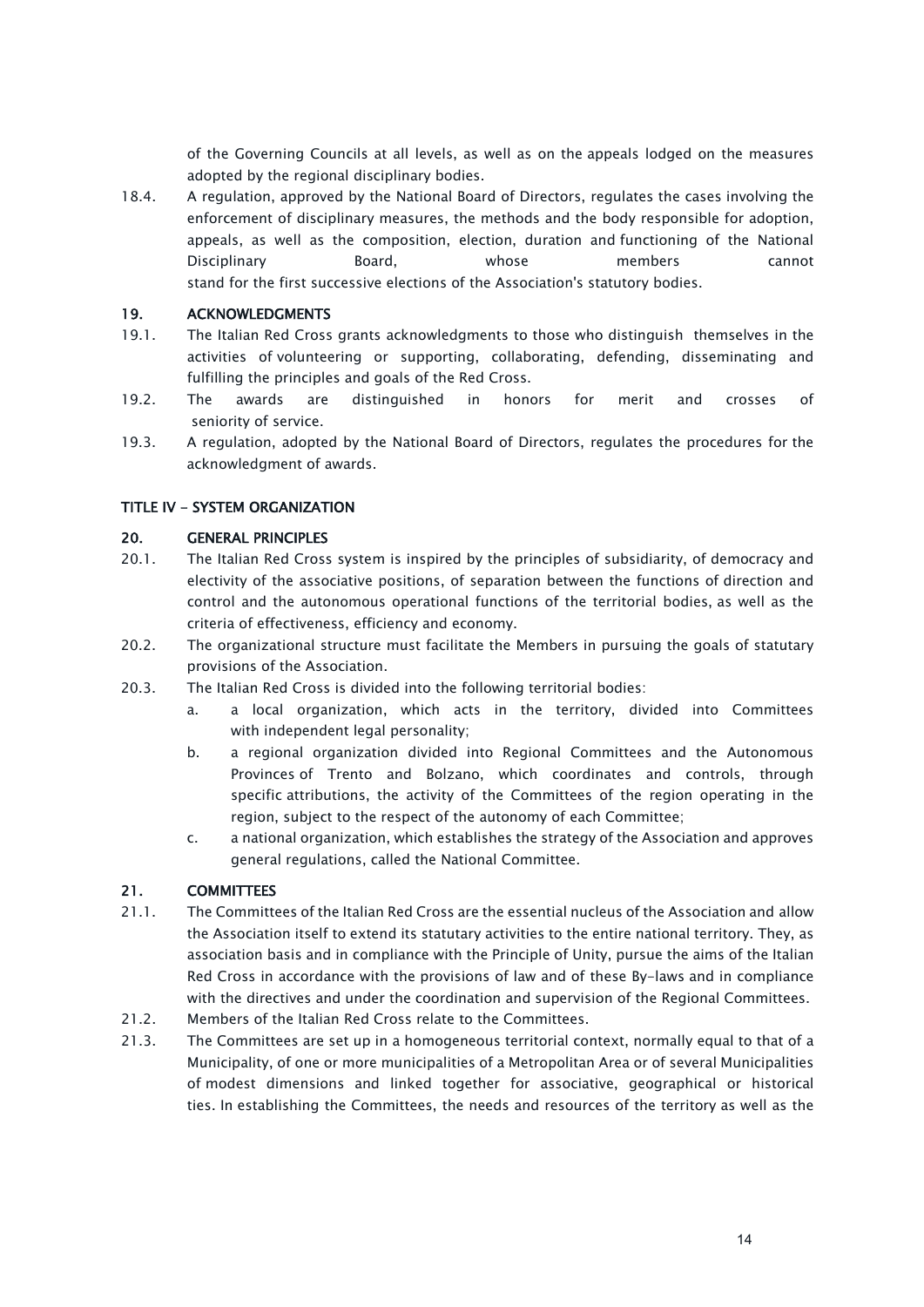of the Governing Councils at all levels, as well as on the appeals lodged on the measures adopted by the regional disciplinary bodies.

18.4. A regulation, approved by the National Board of Directors, regulates the cases involving the enforcement of disciplinary measures, the methods and the body responsible for adoption, appeals, as well as the composition, election, duration and functioning of the National Disciplinary Board, whose members cannot stand for the first successive elections of the Association's statutory bodies.

### <span id="page-13-0"></span>19. ACKNOWLEDGMENTS

- 19.1. The Italian Red Cross grants acknowledgments to those who distinguish themselves in the activities of volunteering or supporting, collaborating, defending, disseminating and fulfilling the principles and goals of the Red Cross.
- 19.2. The awards are distinguished in honors for merit and crosses of seniority of service.
- 19.3. A regulation, adopted by the National Board of Directors, regulates the procedures for the acknowledgment of awards.

# <span id="page-13-1"></span>TITLE IV - SYSTEM ORGANIZATION

#### <span id="page-13-2"></span>20. GENERAL PRINCIPLES

- 20.1. The Italian Red Cross system is inspired by the principles of subsidiarity, of democracy and electivity of the associative positions, of separation between the functions of direction and control and the autonomous operational functions of the territorial bodies, as well as the criteria of effectiveness, efficiency and economy.
- 20.2. The organizational structure must facilitate the Members in pursuing the goals of statutary provisions of the Association.
- 20.3. The Italian Red Cross is divided into the following territorial bodies:
	- a. a local organization, which acts in the territory, divided into Committees with independent legal personality;
	- b. a regional organization divided into Regional Committees and the Autonomous Provinces of Trento and Bolzano, which coordinates and controls, through specific attributions, the activity of the Committees of the region operating in the region, subject to the respect of the autonomy of each Committee;
	- c. a national organization, which establishes the strategy of the Association and approves general regulations, called the National Committee.

### <span id="page-13-3"></span>21. COMMITTEES

- 21.1. The Committees of the Italian Red Cross are the essential nucleus of the Association and allow the Association itself to extend its statutary activities to the entire national territory. They, as association basis and in compliance with the Principle of Unity, pursue the aims of the Italian Red Cross in accordance with the provisions of law and of these By-laws and in compliance with the directives and under the coordination and supervision of the Regional Committees.
- 21.2. Members of the Italian Red Cross relate to the Committees.
- 21.3. The Committees are set up in a homogeneous territorial context, normally equal to that of a Municipality, of one or more municipalities of a Metropolitan Area or of several Municipalities of modest dimensions and linked together for associative, geographical or historical ties. In establishing the Committees, the needs and resources of the territory as well as the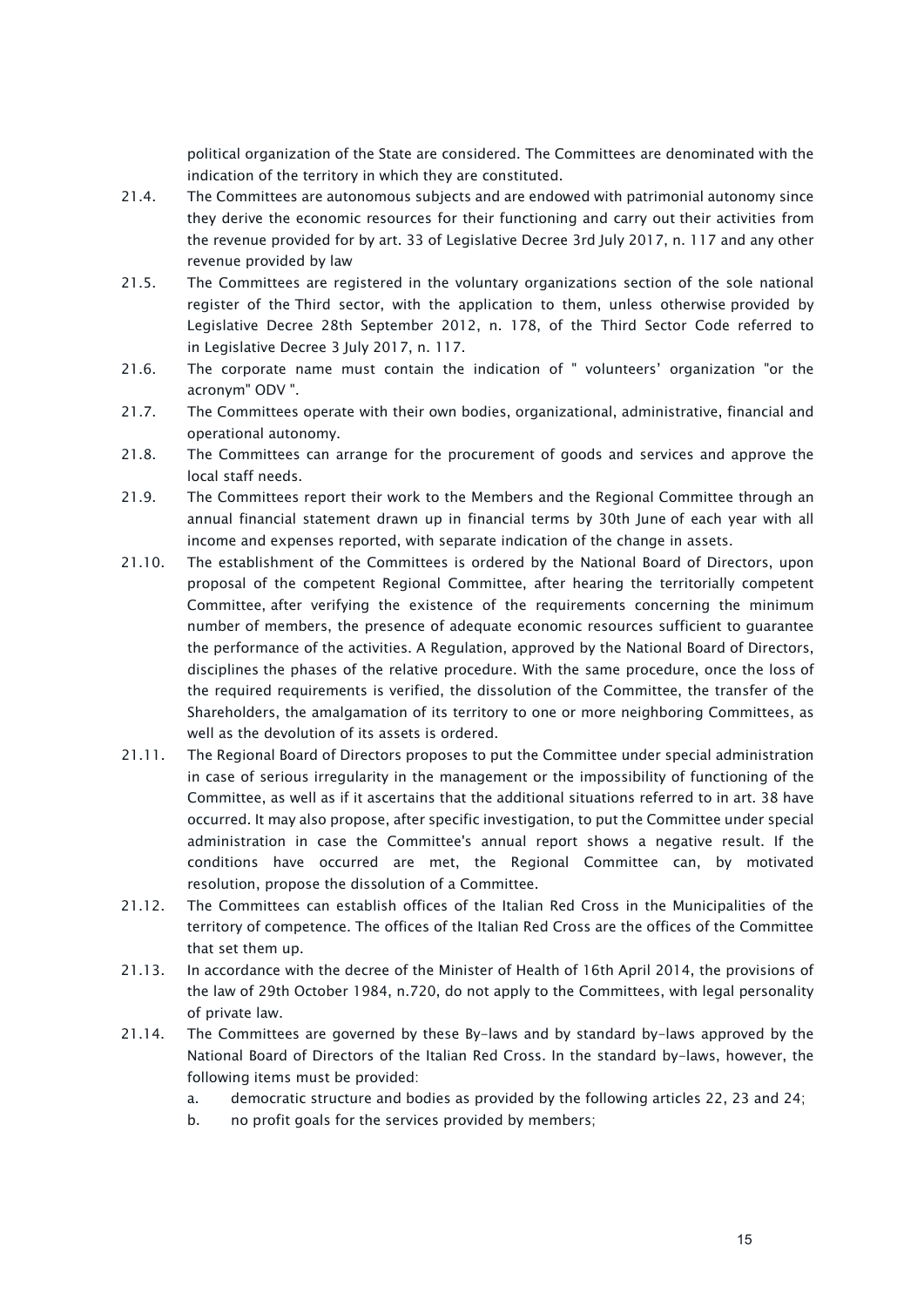political organization of the State are considered. The Committees are denominated with the indication of the territory in which they are constituted.

- 21.4. The Committees are autonomous subjects and are endowed with patrimonial autonomy since they derive the economic resources for their functioning and carry out their activities from the revenue provided for by art. 33 of Legislative Decree 3rd July 2017, n. 117 and any other revenue provided by law
- 21.5. The Committees are registered in the voluntary organizations section of the sole national register of the Third sector, with the application to them, unless otherwise provided by Legislative Decree 28th September 2012, n. 178, of the Third Sector Code referred to in Legislative Decree 3 July 2017, n. 117.
- 21.6. The corporate name must contain the indication of " volunteers' organization "or the acronym" ODV ".
- 21.7. The Committees operate with their own bodies, organizational, administrative, financial and operational autonomy.
- 21.8. The Committees can arrange for the procurement of goods and services and approve the local staff needs.
- 21.9. The Committees report their work to the Members and the Regional Committee through an annual financial statement drawn up in financial terms by 30th June of each year with all income and expenses reported, with separate indication of the change in assets.
- 21.10. The establishment of the Committees is ordered by the National Board of Directors, upon proposal of the competent Regional Committee, after hearing the territorially competent Committee, after verifying the existence of the requirements concerning the minimum number of members, the presence of adequate economic resources sufficient to guarantee the performance of the activities. A Regulation, approved by the National Board of Directors, disciplines the phases of the relative procedure. With the same procedure, once the loss of the required requirements is verified, the dissolution of the Committee, the transfer of the Shareholders, the amalgamation of its territory to one or more neighboring Committees, as well as the devolution of its assets is ordered.
- 21.11. The Regional Board of Directors proposes to put the Committee under special administration in case of serious irregularity in the management or the impossibility of functioning of the Committee, as well as if it ascertains that the additional situations referred to in art. 38 have occurred. It may also propose, after specific investigation, to put the Committee under special administration in case the Committee's annual report shows a negative result. If the conditions have occurred are met, the Regional Committee can, by motivated resolution, propose the dissolution of a Committee.
- 21.12. The Committees can establish offices of the Italian Red Cross in the Municipalities of the territory of competence. The offices of the Italian Red Cross are the offices of the Committee that set them up.
- 21.13. In accordance with the decree of the Minister of Health of 16th April 2014, the provisions of the law of 29th October 1984, n.720, do not apply to the Committees, with legal personality of private law.
- 21.14. The Committees are governed by these By-laws and by standard by-laws approved by the National Board of Directors of the Italian Red Cross. In the standard by-laws, however, the following items must be provided:
	- a. democratic structure and bodies as provided by the following articles 22, 23 and 24;
	- b. no profit goals for the services provided by members;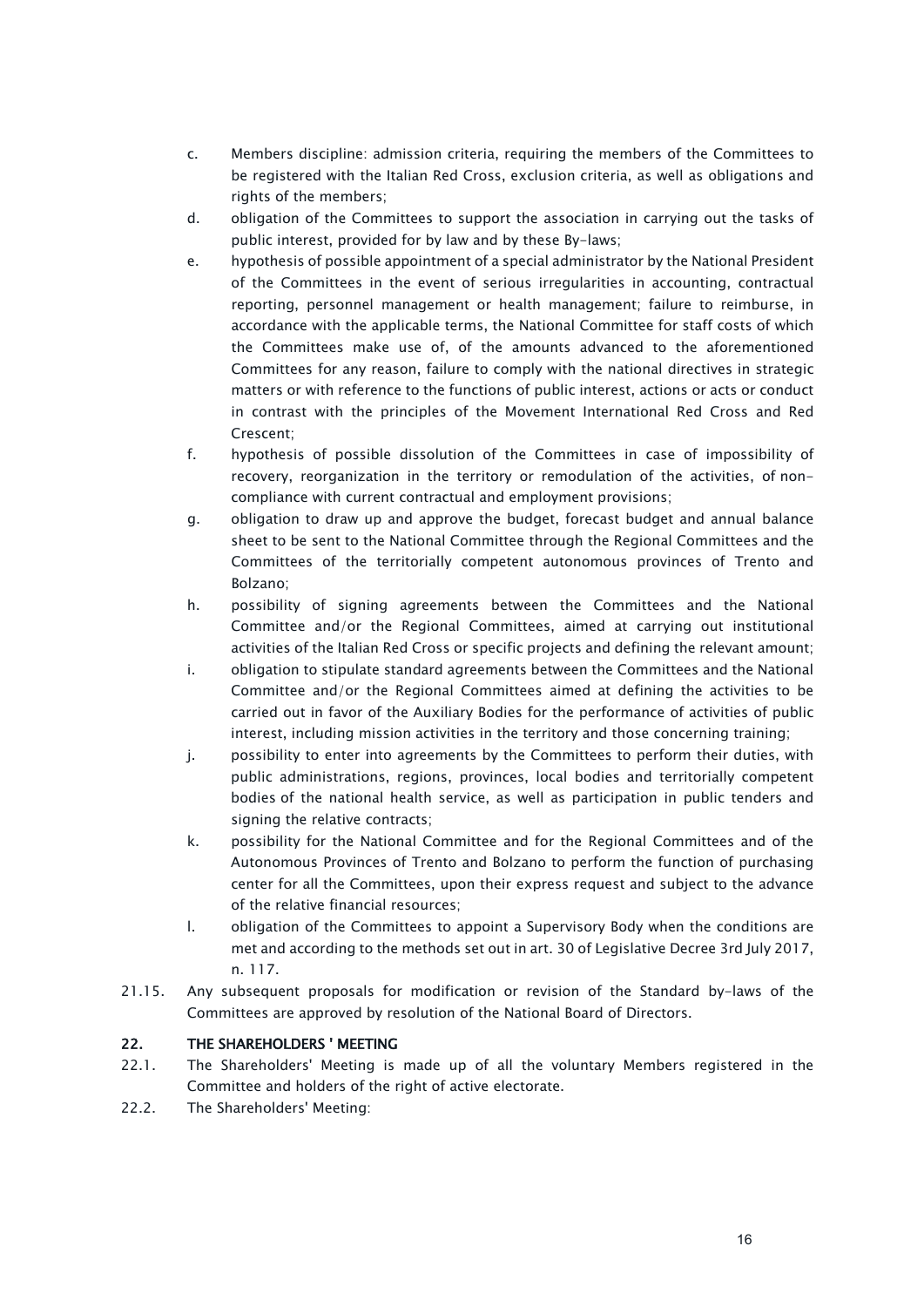- c. Members discipline: admission criteria, requiring the members of the Committees to be registered with the Italian Red Cross, exclusion criteria, as well as obligations and rights of the members;
- d. obligation of the Committees to support the association in carrying out the tasks of public interest, provided for by law and by these By-laws;
- e. hypothesis of possible appointment of a special administrator by the National President of the Committees in the event of serious irregularities in accounting, contractual reporting, personnel management or health management; failure to reimburse, in accordance with the applicable terms, the National Committee for staff costs of which the Committees make use of, of the amounts advanced to the aforementioned Committees for any reason, failure to comply with the national directives in strategic matters or with reference to the functions of public interest, actions or acts or conduct in contrast with the principles of the Movement International Red Cross and Red Crescent;
- f. hypothesis of possible dissolution of the Committees in case of impossibility of recovery, reorganization in the territory or remodulation of the activities, of noncompliance with current contractual and employment provisions;
- g. obligation to draw up and approve the budget, forecast budget and annual balance sheet to be sent to the National Committee through the Regional Committees and the Committees of the territorially competent autonomous provinces of Trento and Bolzano;
- h. possibility of signing agreements between the Committees and the National Committee and/or the Regional Committees, aimed at carrying out institutional activities of the Italian Red Cross or specific projects and defining the relevant amount;
- i. obligation to stipulate standard agreements between the Committees and the National Committee and/or the Regional Committees aimed at defining the activities to be carried out in favor of the Auxiliary Bodies for the performance of activities of public interest, including mission activities in the territory and those concerning training;
- j. possibility to enter into agreements by the Committees to perform their duties, with public administrations, regions, provinces, local bodies and territorially competent bodies of the national health service, as well as participation in public tenders and signing the relative contracts;
- k. possibility for the National Committee and for the Regional Committees and of the Autonomous Provinces of Trento and Bolzano to perform the function of purchasing center for all the Committees, upon their express request and subject to the advance of the relative financial resources;
- l. obligation of the Committees to appoint a Supervisory Body when the conditions are met and according to the methods set out in art. 30 of Legislative Decree 3rd July 2017, n. 117.
- 21.15. Any subsequent proposals for modification or revision of the Standard by-laws of the Committees are approved by resolution of the National Board of Directors.

# <span id="page-15-0"></span>22. THE SHAREHOLDERS ' MEETING

- 22.1. The Shareholders' Meeting is made up of all the voluntary Members registered in the Committee and holders of the right of active electorate.
- 22.2. The Shareholders' Meeting: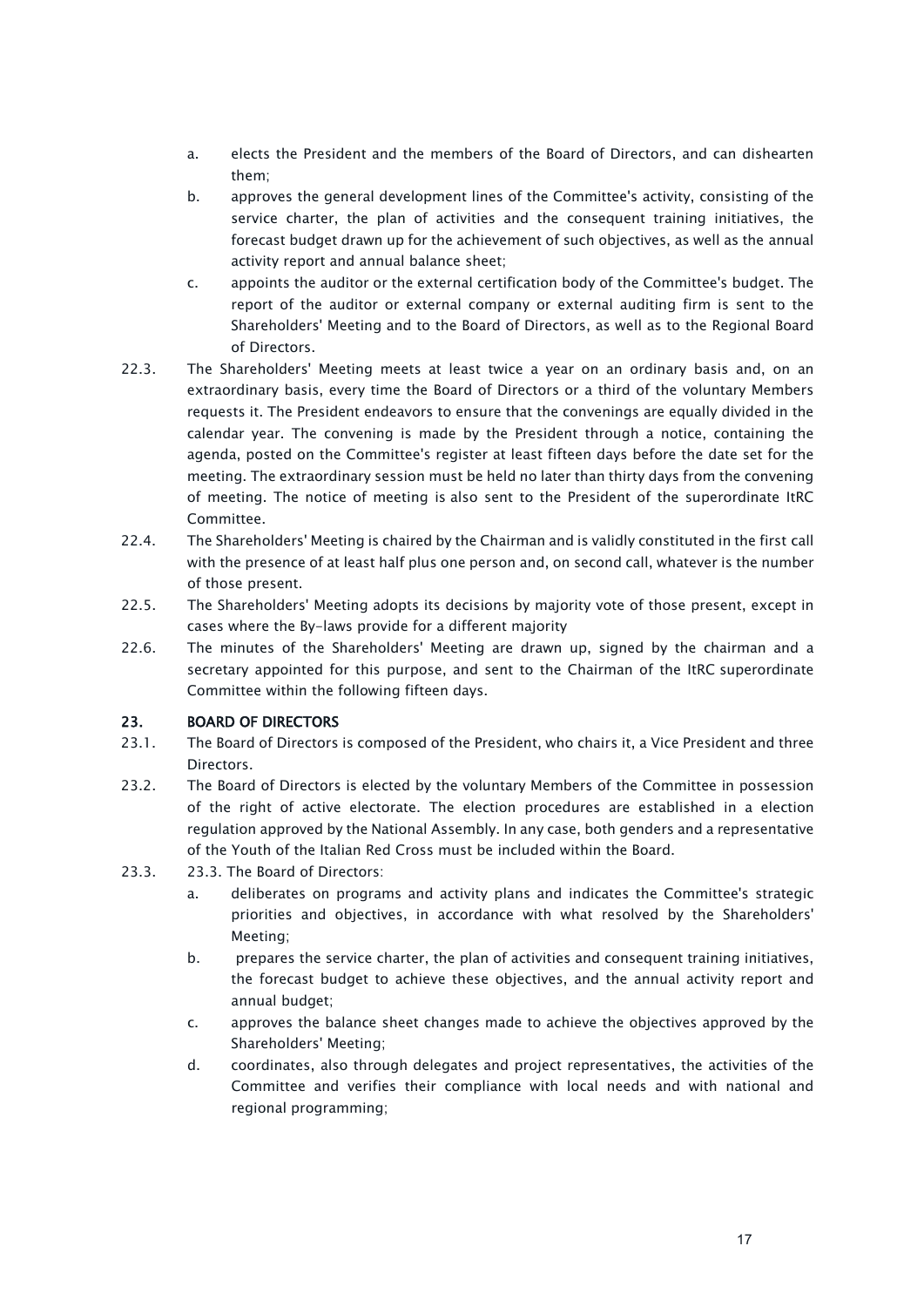- a. elects the President and the members of the Board of Directors, and can dishearten them;
- b. approves the general development lines of the Committee's activity, consisting of the service charter, the plan of activities and the consequent training initiatives, the forecast budget drawn up for the achievement of such objectives, as well as the annual activity report and annual balance sheet;
- c. appoints the auditor or the external certification body of the Committee's budget. The report of the auditor or external company or external auditing firm is sent to the Shareholders' Meeting and to the Board of Directors, as well as to the Regional Board of Directors.
- 22.3. The Shareholders' Meeting meets at least twice a year on an ordinary basis and, on an extraordinary basis, every time the Board of Directors or a third of the voluntary Members requests it. The President endeavors to ensure that the convenings are equally divided in the calendar year. The convening is made by the President through a notice, containing the agenda, posted on the Committee's register at least fifteen days before the date set for the meeting. The extraordinary session must be held no later than thirty days from the convening of meeting. The notice of meeting is also sent to the President of the superordinate ItRC Committee.
- 22.4. The Shareholders' Meeting is chaired by the Chairman and is validly constituted in the first call with the presence of at least half plus one person and, on second call, whatever is the number of those present.
- 22.5. The Shareholders' Meeting adopts its decisions by majority vote of those present, except in cases where the By-laws provide for a different majority
- 22.6. The minutes of the Shareholders' Meeting are drawn up, signed by the chairman and a secretary appointed for this purpose, and sent to the Chairman of the ItRC superordinate Committee within the following fifteen days.

# <span id="page-16-0"></span>23. BOARD OF DIRECTORS

- 23.1. The Board of Directors is composed of the President, who chairs it, a Vice President and three **Directors**
- 23.2. The Board of Directors is elected by the voluntary Members of the Committee in possession of the right of active electorate. The election procedures are established in a election regulation approved by the National Assembly. In any case, both genders and a representative of the Youth of the Italian Red Cross must be included within the Board.
- 23.3. 23.3. The Board of Directors:
	- a. deliberates on programs and activity plans and indicates the Committee's strategic priorities and objectives, in accordance with what resolved by the Shareholders' Meeting;
	- b. prepares the service charter, the plan of activities and consequent training initiatives, the forecast budget to achieve these objectives, and the annual activity report and annual budget;
	- c. approves the balance sheet changes made to achieve the objectives approved by the Shareholders' Meeting;
	- d. coordinates, also through delegates and project representatives, the activities of the Committee and verifies their compliance with local needs and with national and regional programming;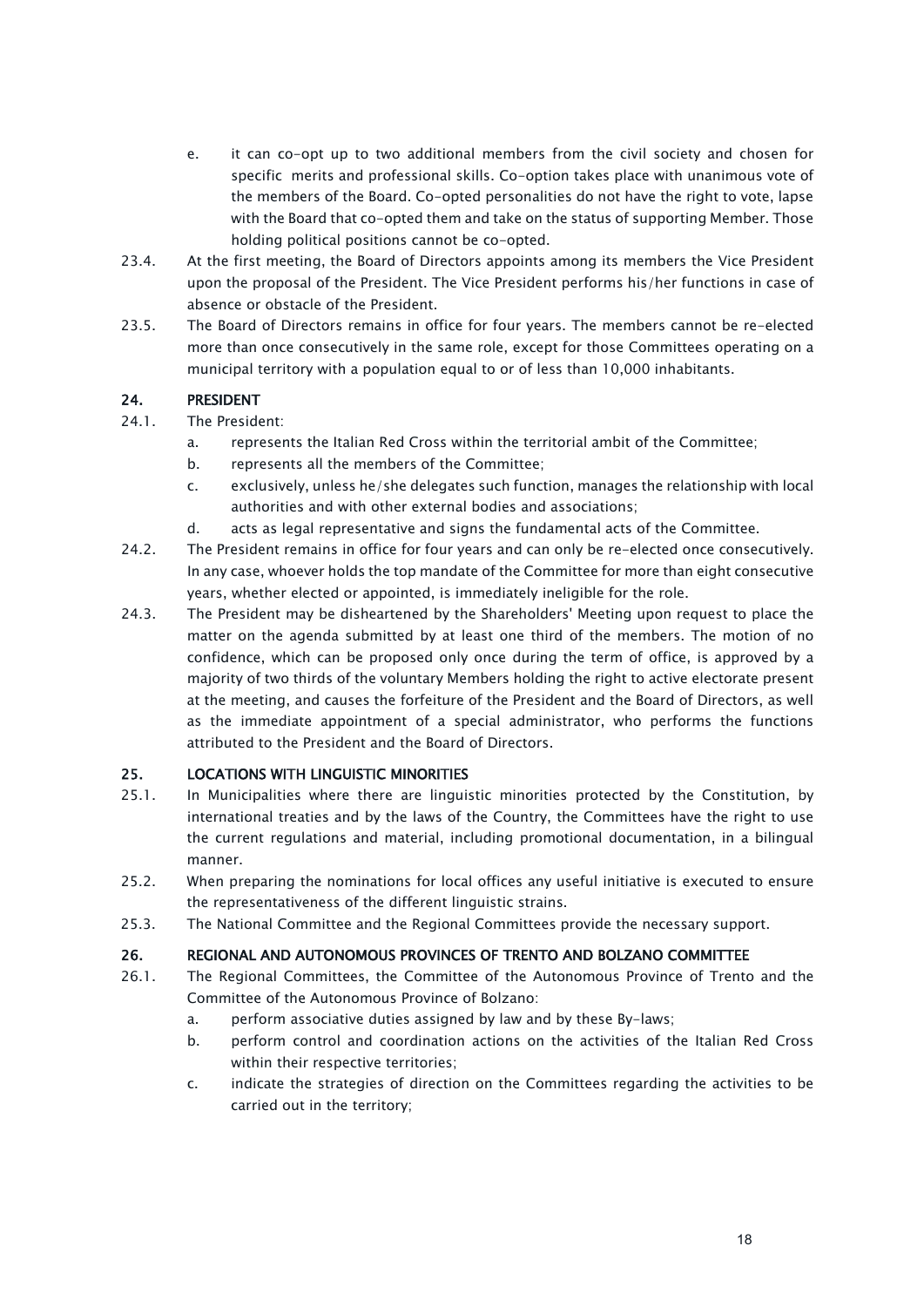- e. it can co-opt up to two additional members from the civil society and chosen for specific merits and professional skills. Co-option takes place with unanimous vote of the members of the Board. Co-opted personalities do not have the right to vote, lapse with the Board that co-opted them and take on the status of supporting Member. Those holding political positions cannot be co-opted.
- 23.4. At the first meeting, the Board of Directors appoints among its members the Vice President upon the proposal of the President. The Vice President performs his/her functions in case of absence or obstacle of the President.
- 23.5. The Board of Directors remains in office for four years. The members cannot be re-elected more than once consecutively in the same role, except for those Committees operating on a municipal territory with a population equal to or of less than 10,000 inhabitants.

# <span id="page-17-0"></span>24. PRESIDENT

- 24.1. The President:
	- a. represents the Italian Red Cross within the territorial ambit of the Committee;
	- b. represents all the members of the Committee;
	- c. exclusively, unless he/she delegates such function, manages the relationship with local authorities and with other external bodies and associations;
	- d. acts as legal representative and signs the fundamental acts of the Committee.
- 24.2. The President remains in office for four years and can only be re-elected once consecutively. In any case, whoever holds the top mandate of the Committee for more than eight consecutive years, whether elected or appointed, is immediately ineligible for the role.
- 24.3. The President may be disheartened by the Shareholders' Meeting upon request to place the matter on the agenda submitted by at least one third of the members. The motion of no confidence, which can be proposed only once during the term of office, is approved by a majority of two thirds of the voluntary Members holding the right to active electorate present at the meeting, and causes the forfeiture of the President and the Board of Directors, as well as the immediate appointment of a special administrator, who performs the functions attributed to the President and the Board of Directors.

# <span id="page-17-1"></span>25. LOCATIONS WITH LINGUISTIC MINORITIES

- 25.1. In Municipalities where there are linguistic minorities protected by the Constitution, by international treaties and by the laws of the Country, the Committees have the right to use the current regulations and material, including promotional documentation, in a bilingual manner.
- 25.2. When preparing the nominations for local offices any useful initiative is executed to ensure the representativeness of the different linguistic strains.
- 25.3. The National Committee and the Regional Committees provide the necessary support.

### <span id="page-17-2"></span>26. REGIONAL AND AUTONOMOUS PROVINCES OF TRENTO AND BOLZANO COMMITTEE

- 26.1. The Regional Committees, the Committee of the Autonomous Province of Trento and the Committee of the Autonomous Province of Bolzano:
	- a. perform associative duties assigned by law and by these By-laws;
	- b. perform control and coordination actions on the activities of the Italian Red Cross within their respective territories;
	- c. indicate the strategies of direction on the Committees regarding the activities to be carried out in the territory;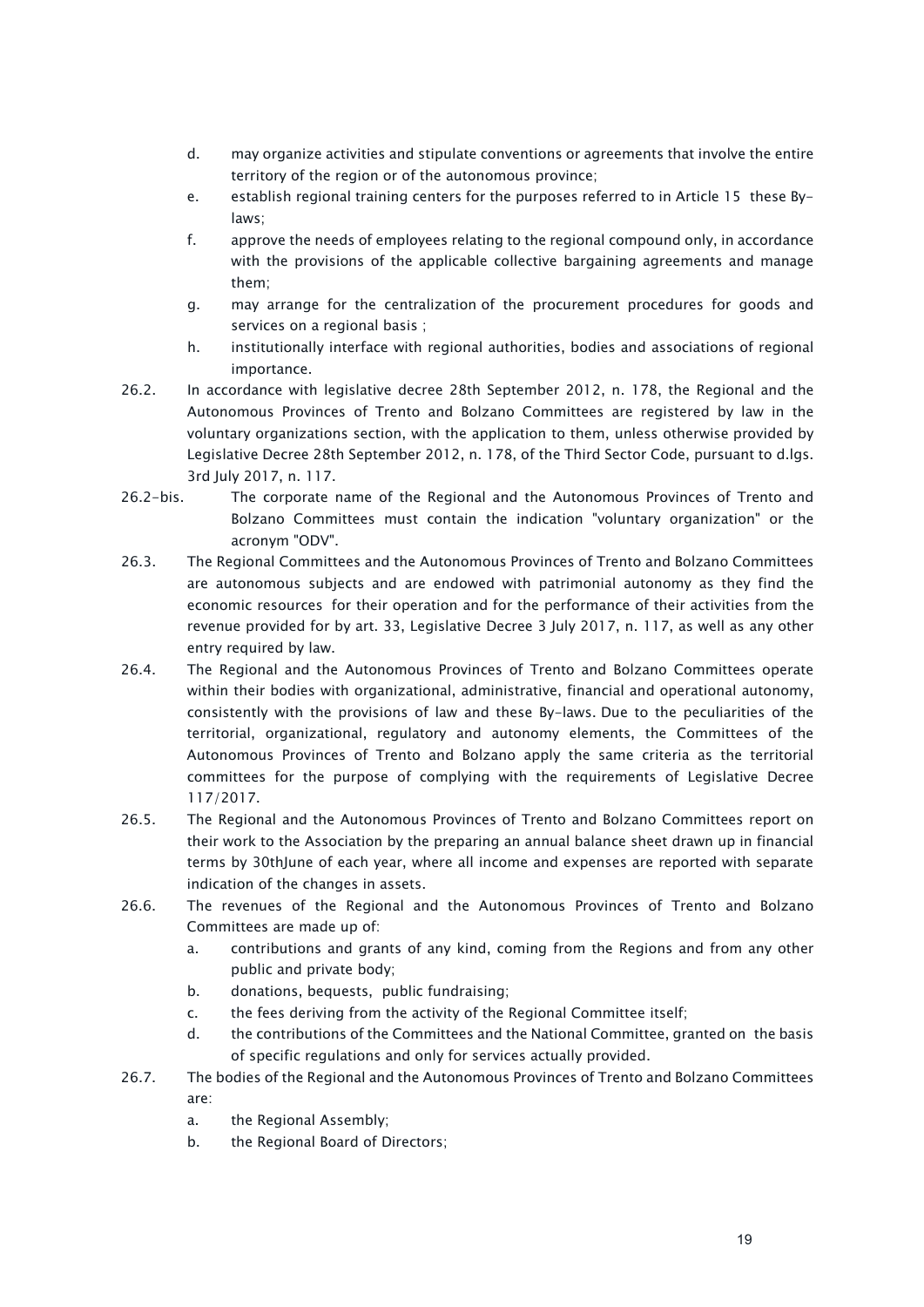- d. may organize activities and stipulate conventions or agreements that involve the entire territory of the region or of the autonomous province;
- e. establish regional training centers for the purposes referred to in Article 15 these Bylaws;
- f. approve the needs of employees relating to the regional compound only, in accordance with the provisions of the applicable collective bargaining agreements and manage them;
- g. may arrange for the centralization of the procurement procedures for goods and services on a regional basis ;
- h. institutionally interface with regional authorities, bodies and associations of regional importance.
- 26.2. In accordance with legislative decree 28th September 2012, n. 178, the Regional and the Autonomous Provinces of Trento and Bolzano Committees are registered by law in the voluntary organizations section, with the application to them, unless otherwise provided by Legislative Decree 28th September 2012, n. 178, of the Third Sector Code, pursuant to d.lgs. 3rd July 2017, n. 117.
- 26.2-bis. The corporate name of the Regional and the Autonomous Provinces of Trento and Bolzano Committees must contain the indication "voluntary organization" or the acronym "ODV".
- 26.3. The Regional Committees and the Autonomous Provinces of Trento and Bolzano Committees are autonomous subjects and are endowed with patrimonial autonomy as they find the economic resources for their operation and for the performance of their activities from the revenue provided for by art. 33, Legislative Decree 3 July 2017, n. 117, as well as any other entry required by law.
- 26.4. The Regional and the Autonomous Provinces of Trento and Bolzano Committees operate within their bodies with organizational, administrative, financial and operational autonomy, consistently with the provisions of law and these By-laws. Due to the peculiarities of the territorial, organizational, regulatory and autonomy elements, the Committees of the Autonomous Provinces of Trento and Bolzano apply the same criteria as the territorial committees for the purpose of complying with the requirements of Legislative Decree 117/2017.
- 26.5. The Regional and the Autonomous Provinces of Trento and Bolzano Committees report on their work to the Association by the preparing an annual balance sheet drawn up in financial terms by 30thJune of each year, where all income and expenses are reported with separate indication of the changes in assets.
- 26.6. The revenues of the Regional and the Autonomous Provinces of Trento and Bolzano Committees are made up of:
	- a. contributions and grants of any kind, coming from the Regions and from any other public and private body;
	- b. donations, bequests, public fundraising;
	- c. the fees deriving from the activity of the Regional Committee itself;
	- d. the contributions of the Committees and the National Committee, granted on the basis of specific regulations and only for services actually provided.
- 26.7. The bodies of the Regional and the Autonomous Provinces of Trento and Bolzano Committees are:
	- a. the Regional Assembly;
	- b. the Regional Board of Directors;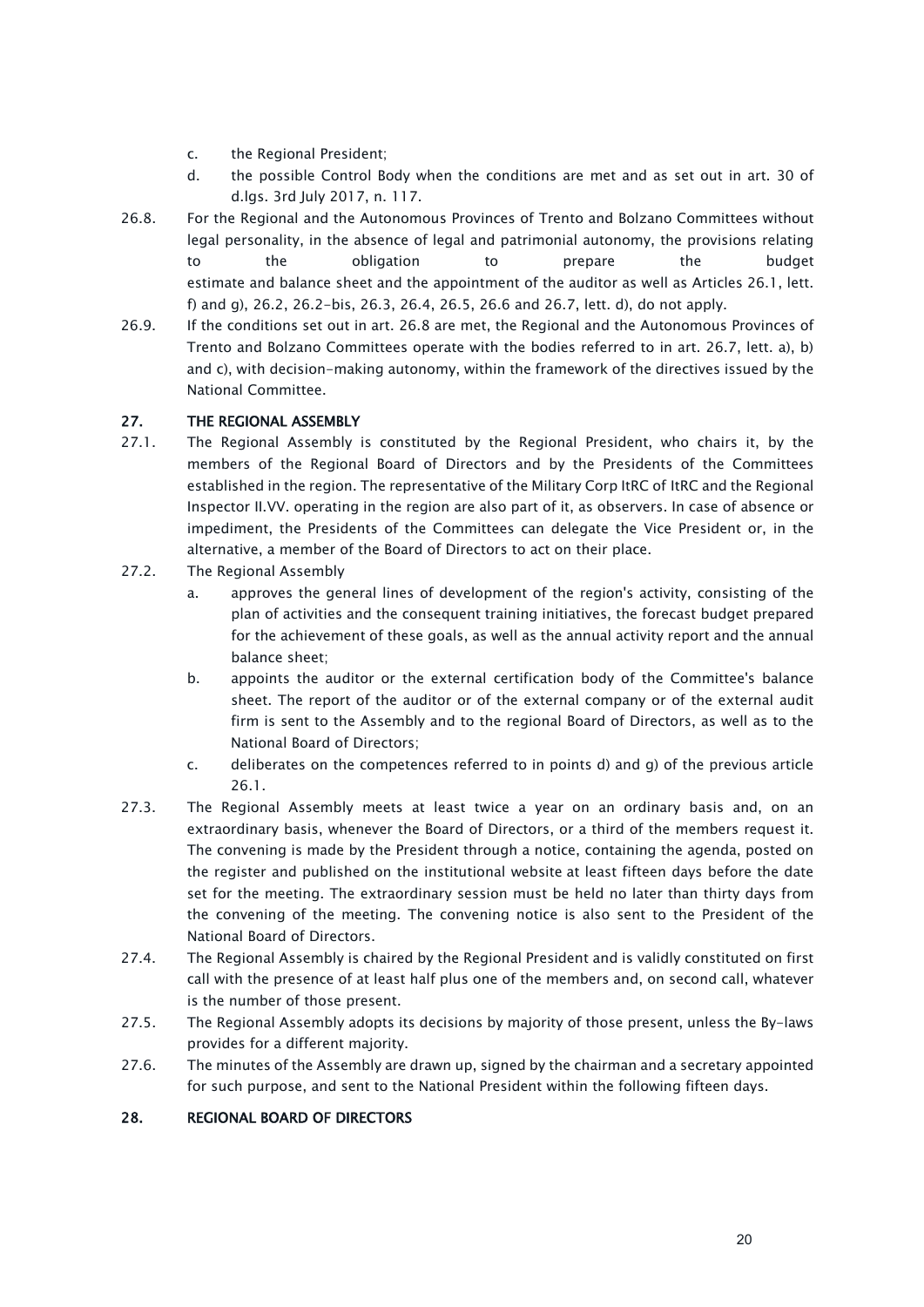- c. the Regional President;
- d. the possible Control Body when the conditions are met and as set out in art. 30 of d.lgs. 3rd July 2017, n. 117.
- 26.8. For the Regional and the Autonomous Provinces of Trento and Bolzano Committees without legal personality, in the absence of legal and patrimonial autonomy, the provisions relating to the obligation to prepare the budget estimate and balance sheet and the appointment of the auditor as well as Articles 26.1, lett. f) and g), 26.2, 26.2-bis, 26.3, 26.4, 26.5, 26.6 and 26.7, lett. d), do not apply.
- 26.9. If the conditions set out in art. 26.8 are met, the Regional and the Autonomous Provinces of Trento and Bolzano Committees operate with the bodies referred to in art. 26.7, lett. a), b) and c), with decision-making autonomy, within the framework of the directives issued by the National Committee.

# <span id="page-19-0"></span>27. THE REGIONAL ASSEMBLY

- 27.1. The Regional Assembly is constituted by the Regional President, who chairs it, by the members of the Regional Board of Directors and by the Presidents of the Committees established in the region. The representative of the Military Corp ItRC of ItRC and the Regional Inspector II.VV. operating in the region are also part of it, as observers. In case of absence or impediment, the Presidents of the Committees can delegate the Vice President or, in the alternative, a member of the Board of Directors to act on their place.
- 27.2. The Regional Assembly
	- a. approves the general lines of development of the region's activity, consisting of the plan of activities and the consequent training initiatives, the forecast budget prepared for the achievement of these goals, as well as the annual activity report and the annual balance sheet;
	- b. appoints the auditor or the external certification body of the Committee's balance sheet. The report of the auditor or of the external company or of the external audit firm is sent to the Assembly and to the regional Board of Directors, as well as to the National Board of Directors;
	- c. deliberates on the competences referred to in points d) and g) of the previous article 26.1.
- 27.3. The Regional Assembly meets at least twice a year on an ordinary basis and, on an extraordinary basis, whenever the Board of Directors, or a third of the members request it. The convening is made by the President through a notice, containing the agenda, posted on the register and published on the institutional website at least fifteen days before the date set for the meeting. The extraordinary session must be held no later than thirty days from the convening of the meeting. The convening notice is also sent to the President of the National Board of Directors.
- 27.4. The Regional Assembly is chaired by the Regional President and is validly constituted on first call with the presence of at least half plus one of the members and, on second call, whatever is the number of those present.
- 27.5. The Regional Assembly adopts its decisions by majority of those present, unless the By-laws provides for a different majority.
- 27.6. The minutes of the Assembly are drawn up, signed by the chairman and a secretary appointed for such purpose, and sent to the National President within the following fifteen days.

### <span id="page-19-1"></span>28. REGIONAL BOARD OF DIRECTORS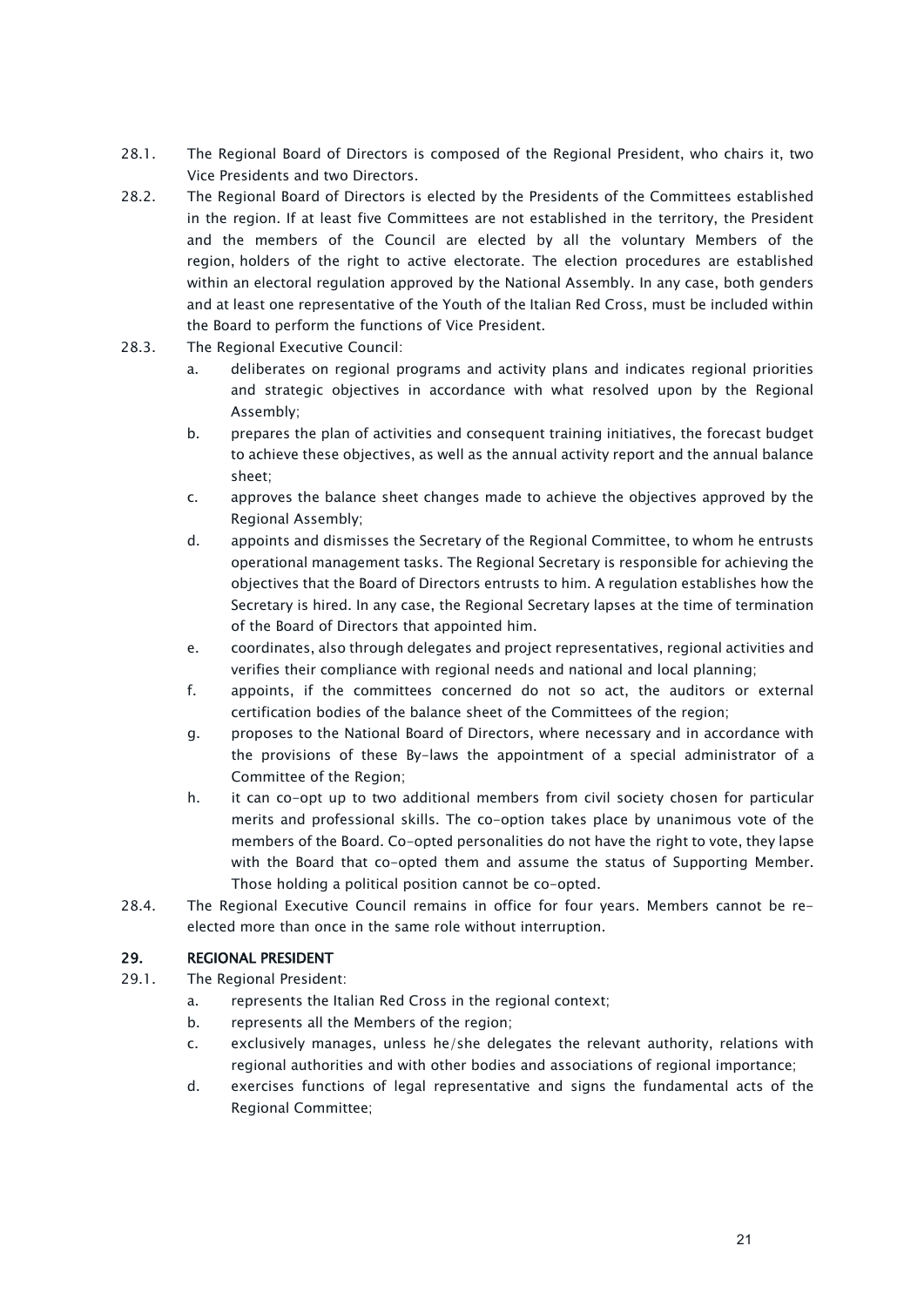- 28.1. The Regional Board of Directors is composed of the Regional President, who chairs it, two Vice Presidents and two Directors.
- 28.2. The Regional Board of Directors is elected by the Presidents of the Committees established in the region. If at least five Committees are not established in the territory, the President and the members of the Council are elected by all the voluntary Members of the region, holders of the right to active electorate. The election procedures are established within an electoral regulation approved by the National Assembly. In any case, both genders and at least one representative of the Youth of the Italian Red Cross, must be included within the Board to perform the functions of Vice President.
- 28.3. The Regional Executive Council:
	- a. deliberates on regional programs and activity plans and indicates regional priorities and strategic objectives in accordance with what resolved upon by the Regional Assembly;
	- b. prepares the plan of activities and consequent training initiatives, the forecast budget to achieve these objectives, as well as the annual activity report and the annual balance sheet;
	- c. approves the balance sheet changes made to achieve the objectives approved by the Regional Assembly;
	- d. appoints and dismisses the Secretary of the Regional Committee, to whom he entrusts operational management tasks. The Regional Secretary is responsible for achieving the objectives that the Board of Directors entrusts to him. A regulation establishes how the Secretary is hired. In any case, the Regional Secretary lapses at the time of termination of the Board of Directors that appointed him.
	- e. coordinates, also through delegates and project representatives, regional activities and verifies their compliance with regional needs and national and local planning;
	- f. appoints, if the committees concerned do not so act, the auditors or external certification bodies of the balance sheet of the Committees of the region;
	- g. proposes to the National Board of Directors, where necessary and in accordance with the provisions of these By-laws the appointment of a special administrator of a Committee of the Region;
	- h. it can co-opt up to two additional members from civil society chosen for particular merits and professional skills. The co-option takes place by unanimous vote of the members of the Board. Co-opted personalities do not have the right to vote, they lapse with the Board that co-opted them and assume the status of Supporting Member. Those holding a political position cannot be co-opted.
- 28.4. The Regional Executive Council remains in office for four years. Members cannot be reelected more than once in the same role without interruption.

# <span id="page-20-0"></span>29. REGIONAL PRESIDENT

- 29.1. The Regional President:
	- a. represents the Italian Red Cross in the regional context;
	- b. represents all the Members of the region;
	- c. exclusively manages, unless he/she delegates the relevant authority, relations with regional authorities and with other bodies and associations of regional importance;
	- d. exercises functions of legal representative and signs the fundamental acts of the Regional Committee;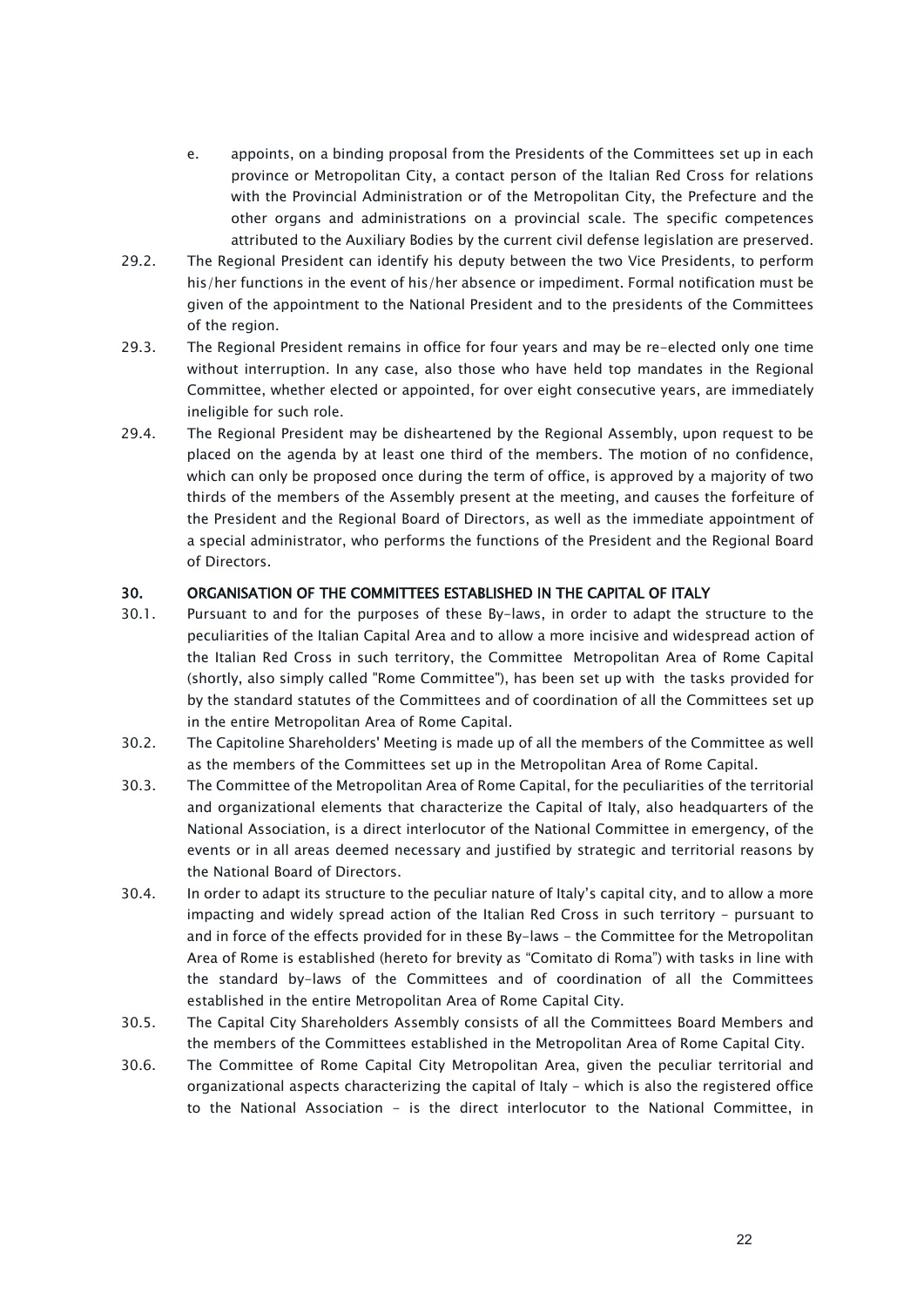- e. appoints, on a binding proposal from the Presidents of the Committees set up in each province or Metropolitan City, a contact person of the Italian Red Cross for relations with the Provincial Administration or of the Metropolitan City, the Prefecture and the other organs and administrations on a provincial scale. The specific competences attributed to the Auxiliary Bodies by the current civil defense legislation are preserved.
- 29.2. The Regional President can identify his deputy between the two Vice Presidents, to perform his/her functions in the event of his/her absence or impediment. Formal notification must be given of the appointment to the National President and to the presidents of the Committees of the region.
- 29.3. The Regional President remains in office for four years and may be re-elected only one time without interruption. In any case, also those who have held top mandates in the Regional Committee, whether elected or appointed, for over eight consecutive years, are immediately ineligible for such role.
- 29.4. The Regional President may be disheartened by the Regional Assembly, upon request to be placed on the agenda by at least one third of the members. The motion of no confidence, which can only be proposed once during the term of office, is approved by a majority of two thirds of the members of the Assembly present at the meeting, and causes the forfeiture of the President and the Regional Board of Directors, as well as the immediate appointment of a special administrator, who performs the functions of the President and the Regional Board of Directors.

### <span id="page-21-0"></span>30. ORGANISATION OF THE COMMITTEES ESTABLISHED IN THE CAPITAL OF ITALY

- 30.1. Pursuant to and for the purposes of these By-laws, in order to adapt the structure to the peculiarities of the Italian Capital Area and to allow a more incisive and widespread action of the Italian Red Cross in such territory, the Committee Metropolitan Area of Rome Capital (shortly, also simply called "Rome Committee"), has been set up with the tasks provided for by the standard statutes of the Committees and of coordination of all the Committees set up in the entire Metropolitan Area of Rome Capital.
- 30.2. The Capitoline Shareholders' Meeting is made up of all the members of the Committee as well as the members of the Committees set up in the Metropolitan Area of Rome Capital.
- 30.3. The Committee of the Metropolitan Area of Rome Capital, for the peculiarities of the territorial and organizational elements that characterize the Capital of Italy, also headquarters of the National Association, is a direct interlocutor of the National Committee in emergency, of the events or in all areas deemed necessary and justified by strategic and territorial reasons by the National Board of Directors.
- 30.4. In order to adapt its structure to the peculiar nature of Italy's capital city, and to allow a more impacting and widely spread action of the Italian Red Cross in such territory - pursuant to and in force of the effects provided for in these By-laws - the Committee for the Metropolitan Area of Rome is established (hereto for brevity as "Comitato di Roma") with tasks in line with the standard by-laws of the Committees and of coordination of all the Committees established in the entire Metropolitan Area of Rome Capital City.
- 30.5. The Capital City Shareholders Assembly consists of all the Committees Board Members and the members of the Committees established in the Metropolitan Area of Rome Capital City.
- 30.6. The Committee of Rome Capital City Metropolitan Area, given the peculiar territorial and organizational aspects characterizing the capital of Italy - which is also the registered office to the National Association - is the direct interlocutor to the National Committee, in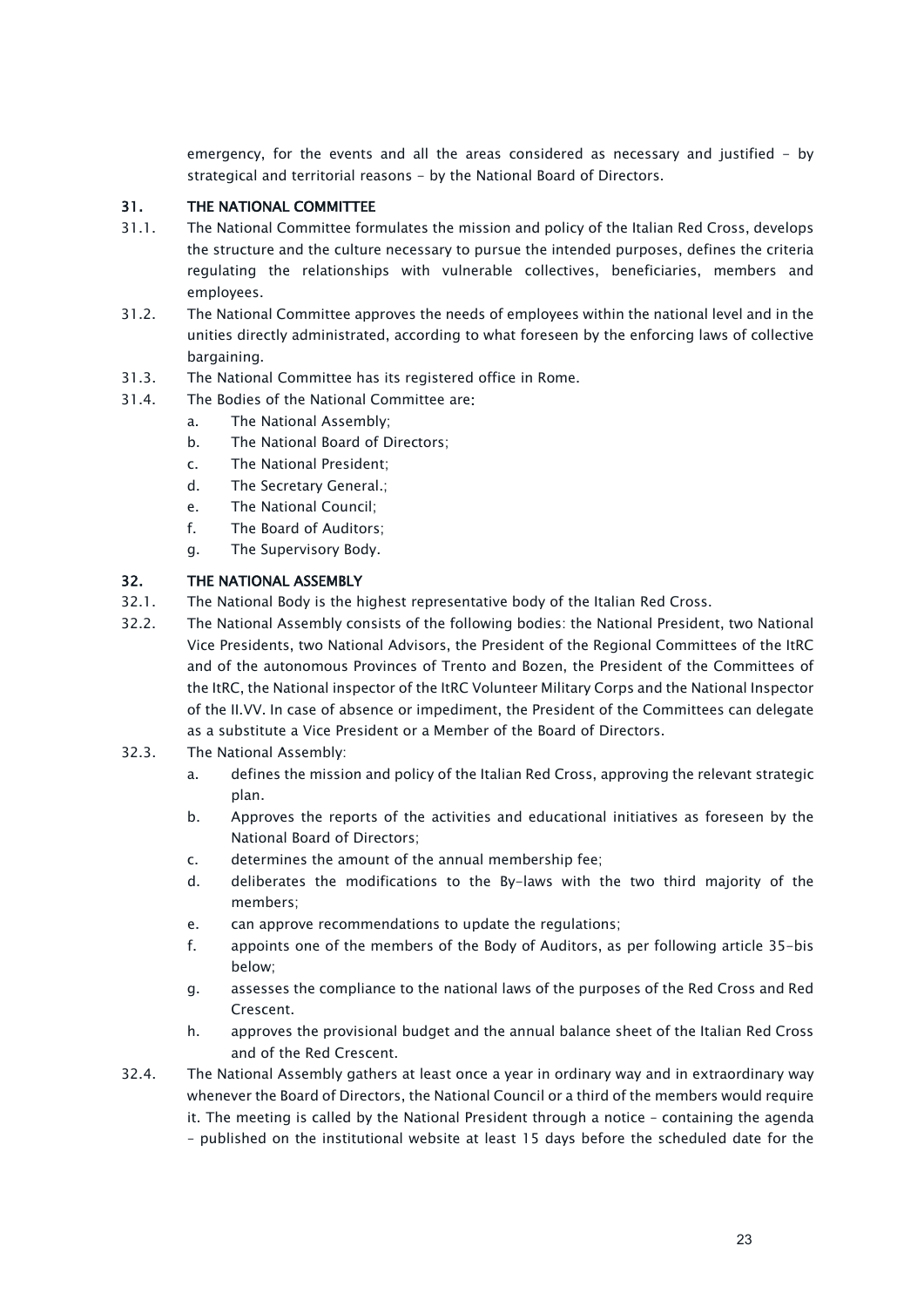emergency, for the events and all the areas considered as necessary and justified - by strategical and territorial reasons - by the National Board of Directors.

# <span id="page-22-0"></span>31. THE NATIONAL COMMITTEE

- 31.1. The National Committee formulates the mission and policy of the Italian Red Cross, develops the structure and the culture necessary to pursue the intended purposes, defines the criteria regulating the relationships with vulnerable collectives, beneficiaries, members and employees.
- 31.2. The National Committee approves the needs of employees within the national level and in the unities directly administrated, according to what foreseen by the enforcing laws of collective bargaining.
- 31.3. The National Committee has its registered office in Rome.
- 31.4. The Bodies of the National Committee are:
	- a. The National Assembly;
	- b. The National Board of Directors;
	- c. The National President;
	- d. The Secretary General.;
	- e. The National Council;
	- f. The Board of Auditors;
	- g. The Supervisory Body.

# <span id="page-22-1"></span>32. THE NATIONAL ASSEMBLY

- 32.1. The National Body is the highest representative body of the Italian Red Cross.
- 32.2. The National Assembly consists of the following bodies: the National President, two National Vice Presidents, two National Advisors, the President of the Regional Committees of the ItRC and of the autonomous Provinces of Trento and Bozen, the President of the Committees of the ItRC, the National inspector of the ItRC Volunteer Military Corps and the National Inspector of the II.VV. In case of absence or impediment, the President of the Committees can delegate as a substitute a Vice President or a Member of the Board of Directors.
- 32.3. The National Assembly:
	- a. defines the mission and policy of the Italian Red Cross, approving the relevant strategic plan.
	- b. Approves the reports of the activities and educational initiatives as foreseen by the National Board of Directors;
	- c. determines the amount of the annual membership fee;
	- d. deliberates the modifications to the By-laws with the two third majority of the members;
	- e. can approve recommendations to update the regulations;
	- f. appoints one of the members of the Body of Auditors, as per following article 35-bis below;
	- g. assesses the compliance to the national laws of the purposes of the Red Cross and Red Crescent.
	- h. approves the provisional budget and the annual balance sheet of the Italian Red Cross and of the Red Crescent.
- 32.4. The National Assembly gathers at least once a year in ordinary way and in extraordinary way whenever the Board of Directors, the National Council or a third of the members would require it. The meeting is called by the National President through a notice – containing the agenda – published on the institutional website at least 15 days before the scheduled date for the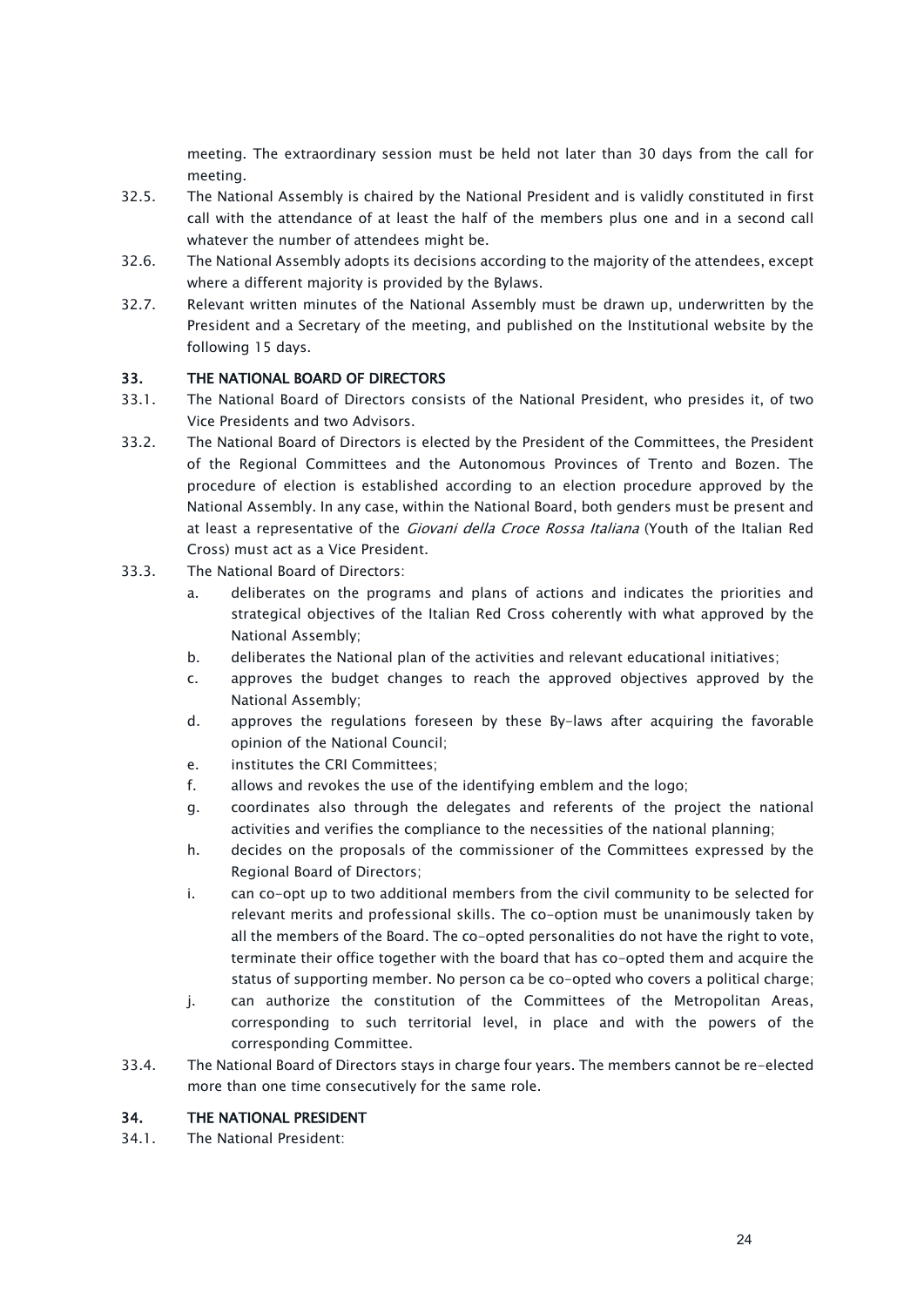meeting. The extraordinary session must be held not later than 30 days from the call for meeting.

- 32.5. The National Assembly is chaired by the National President and is validly constituted in first call with the attendance of at least the half of the members plus one and in a second call whatever the number of attendees might be.
- 32.6. The National Assembly adopts its decisions according to the majority of the attendees, except where a different majority is provided by the Bylaws.
- 32.7. Relevant written minutes of the National Assembly must be drawn up, underwritten by the President and a Secretary of the meeting, and published on the Institutional website by the following 15 days.

### <span id="page-23-0"></span>33. THE NATIONAL BOARD OF DIRECTORS

- 33.1. The National Board of Directors consists of the National President, who presides it, of two Vice Presidents and two Advisors.
- 33.2. The National Board of Directors is elected by the President of the Committees, the President of the Regional Committees and the Autonomous Provinces of Trento and Bozen. The procedure of election is established according to an election procedure approved by the National Assembly. In any case, within the National Board, both genders must be present and at least a representative of the *Giovani della Croce Rossa Italiana* (Youth of the Italian Red Cross) must act as a Vice President.
- 33.3. The National Board of Directors:
	- a. deliberates on the programs and plans of actions and indicates the priorities and strategical objectives of the Italian Red Cross coherently with what approved by the National Assembly;
	- b. deliberates the National plan of the activities and relevant educational initiatives;
	- c. approves the budget changes to reach the approved objectives approved by the National Assembly;
	- d. approves the regulations foreseen by these By-laws after acquiring the favorable opinion of the National Council;
	- e. institutes the CRI Committees;
	- f. allows and revokes the use of the identifying emblem and the logo;
	- g. coordinates also through the delegates and referents of the project the national activities and verifies the compliance to the necessities of the national planning;
	- h. decides on the proposals of the commissioner of the Committees expressed by the Regional Board of Directors;
	- i. can co-opt up to two additional members from the civil community to be selected for relevant merits and professional skills. The co-option must be unanimously taken by all the members of the Board. The co-opted personalities do not have the right to vote, terminate their office together with the board that has co-opted them and acquire the status of supporting member. No person ca be co-opted who covers a political charge;
	- j. can authorize the constitution of the Committees of the Metropolitan Areas, corresponding to such territorial level, in place and with the powers of the corresponding Committee.
- 33.4. The National Board of Directors stays in charge four years. The members cannot be re-elected more than one time consecutively for the same role.

### <span id="page-23-1"></span>34. THE NATIONAL PRESIDENT

34.1. The National President: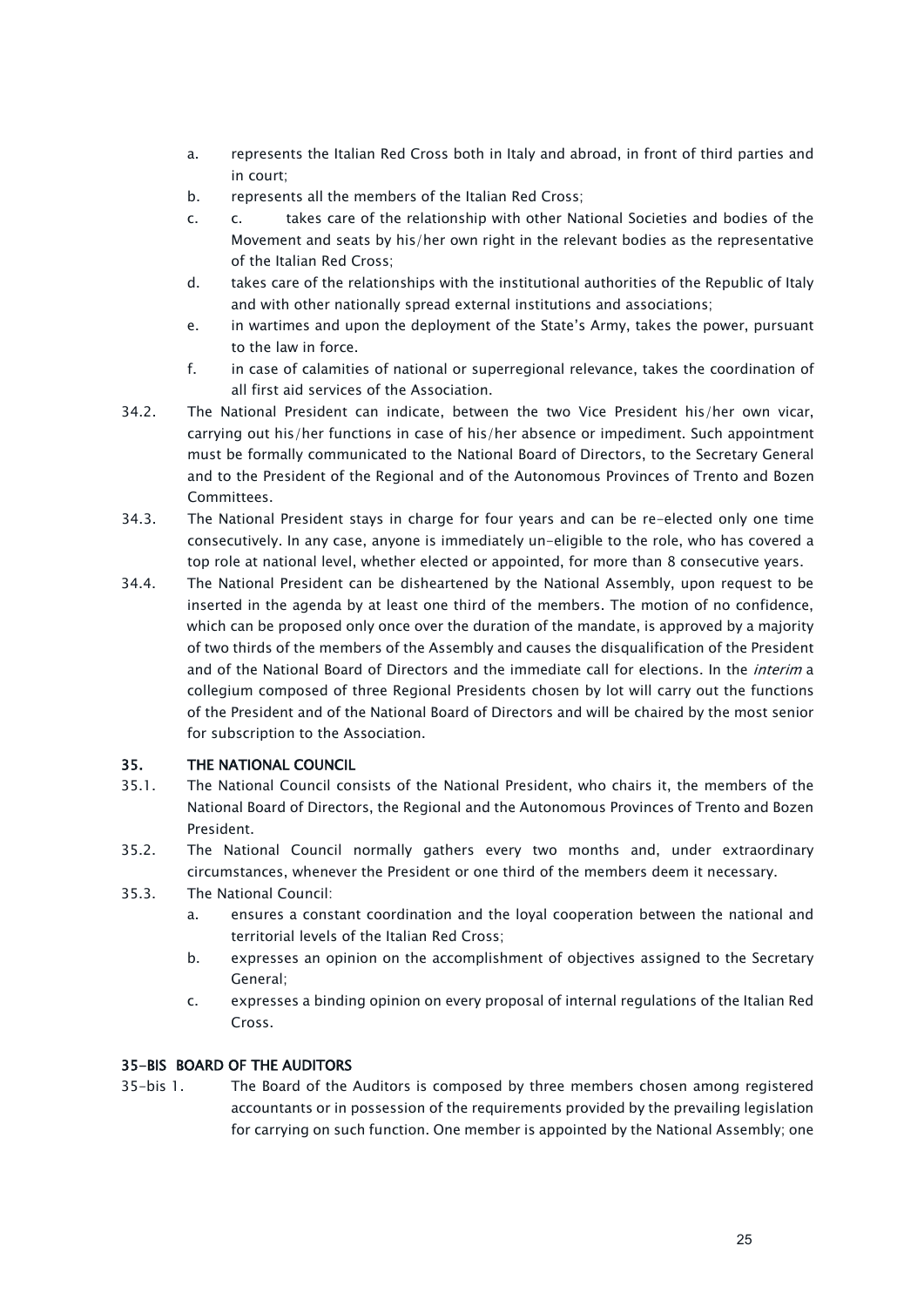- a. represents the Italian Red Cross both in Italy and abroad, in front of third parties and in court;
- b. represents all the members of the Italian Red Cross;
- c. c. takes care of the relationship with other National Societies and bodies of the Movement and seats by his/her own right in the relevant bodies as the representative of the Italian Red Cross;
- d. takes care of the relationships with the institutional authorities of the Republic of Italy and with other nationally spread external institutions and associations;
- e. in wartimes and upon the deployment of the State's Army, takes the power, pursuant to the law in force.
- f. in case of calamities of national or superregional relevance, takes the coordination of all first aid services of the Association.
- 34.2. The National President can indicate, between the two Vice President his/her own vicar, carrying out his/her functions in case of his/her absence or impediment. Such appointment must be formally communicated to the National Board of Directors, to the Secretary General and to the President of the Regional and of the Autonomous Provinces of Trento and Bozen Committees.
- 34.3. The National President stays in charge for four years and can be re-elected only one time consecutively. In any case, anyone is immediately un-eligible to the role, who has covered a top role at national level, whether elected or appointed, for more than 8 consecutive years.
- 34.4. The National President can be disheartened by the National Assembly, upon request to be inserted in the agenda by at least one third of the members. The motion of no confidence, which can be proposed only once over the duration of the mandate, is approved by a majority of two thirds of the members of the Assembly and causes the disqualification of the President and of the National Board of Directors and the immediate call for elections. In the *interim* a collegium composed of three Regional Presidents chosen by lot will carry out the functions of the President and of the National Board of Directors and will be chaired by the most senior for subscription to the Association.

# <span id="page-24-0"></span>35. THE NATIONAL COUNCIL

- 35.1. The National Council consists of the National President, who chairs it, the members of the National Board of Directors, the Regional and the Autonomous Provinces of Trento and Bozen President.
- 35.2. The National Council normally gathers every two months and, under extraordinary circumstances, whenever the President or one third of the members deem it necessary.
- 35.3. The National Council:
	- a. ensures a constant coordination and the loyal cooperation between the national and territorial levels of the Italian Red Cross;
	- b. expresses an opinion on the accomplishment of objectives assigned to the Secretary General;
	- c. expresses a binding opinion on every proposal of internal regulations of the Italian Red Cross.

### <span id="page-24-1"></span>35-BIS BOARD OF THE AUDITORS

35-bis 1. The Board of the Auditors is composed by three members chosen among registered accountants or in possession of the requirements provided by the prevailing legislation for carrying on such function. One member is appointed by the National Assembly; one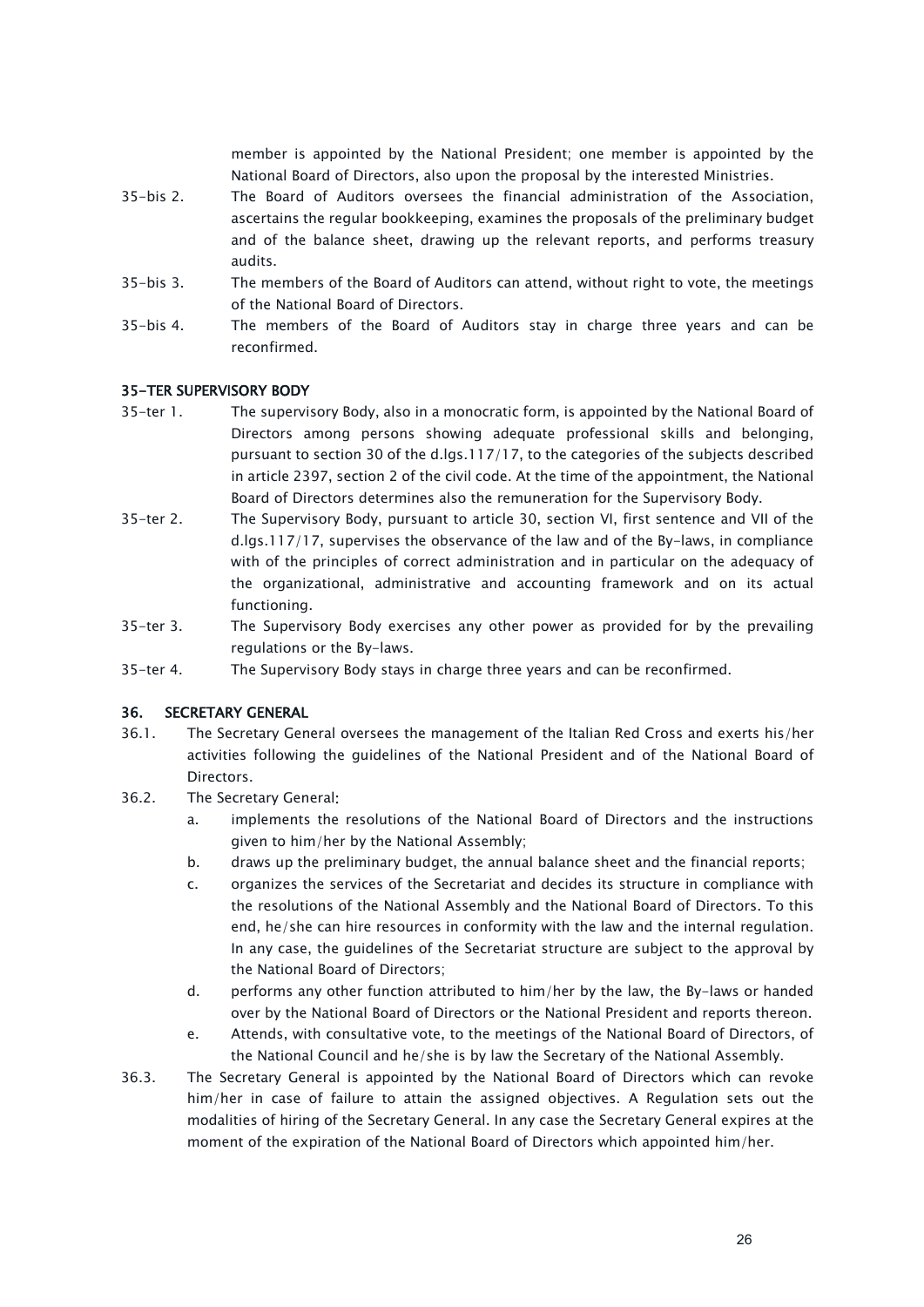member is appointed by the National President; one member is appointed by the National Board of Directors, also upon the proposal by the interested Ministries.

- 35-bis 2. The Board of Auditors oversees the financial administration of the Association, ascertains the regular bookkeeping, examines the proposals of the preliminary budget and of the balance sheet, drawing up the relevant reports, and performs treasury audits.
- 35-bis 3. The members of the Board of Auditors can attend, without right to vote, the meetings of the National Board of Directors.
- 35-bis 4. The members of the Board of Auditors stay in charge three years and can be reconfirmed.

### <span id="page-25-0"></span>35-TER SUPERVISORY BODY

- 35-ter 1. The supervisory Body, also in a monocratic form, is appointed by the National Board of Directors among persons showing adequate professional skills and belonging, pursuant to section 30 of the d.lgs.117/17, to the categories of the subjects described in article 2397, section 2 of the civil code. At the time of the appointment, the National Board of Directors determines also the remuneration for the Supervisory Body.
- 35-ter 2. The Supervisory Body, pursuant to article 30, section VI, first sentence and VII of the d.lgs.117/17, supervises the observance of the law and of the By-laws, in compliance with of the principles of correct administration and in particular on the adequacy of the organizational, administrative and accounting framework and on its actual functioning.
- 35-ter 3. The Supervisory Body exercises any other power as provided for by the prevailing regulations or the By-laws.
- 35-ter 4. The Supervisory Body stays in charge three years and can be reconfirmed.

### <span id="page-25-1"></span>36. SECRETARY GENERAL

- 36.1. The Secretary General oversees the management of the Italian Red Cross and exerts his/her activities following the guidelines of the National President and of the National Board of **Directors**
- 36.2. The Secretary General:
	- a. implements the resolutions of the National Board of Directors and the instructions given to him/her by the National Assembly;
	- b. draws up the preliminary budget, the annual balance sheet and the financial reports;
	- c. organizes the services of the Secretariat and decides its structure in compliance with the resolutions of the National Assembly and the National Board of Directors. To this end, he/she can hire resources in conformity with the law and the internal regulation. In any case, the guidelines of the Secretariat structure are subject to the approval by the National Board of Directors;
	- d. performs any other function attributed to him/her by the law, the By-laws or handed over by the National Board of Directors or the National President and reports thereon.
	- e. Attends, with consultative vote, to the meetings of the National Board of Directors, of the National Council and he/she is by law the Secretary of the National Assembly.
- 36.3. The Secretary General is appointed by the National Board of Directors which can revoke him/her in case of failure to attain the assigned objectives. A Regulation sets out the modalities of hiring of the Secretary General. In any case the Secretary General expires at the moment of the expiration of the National Board of Directors which appointed him/her.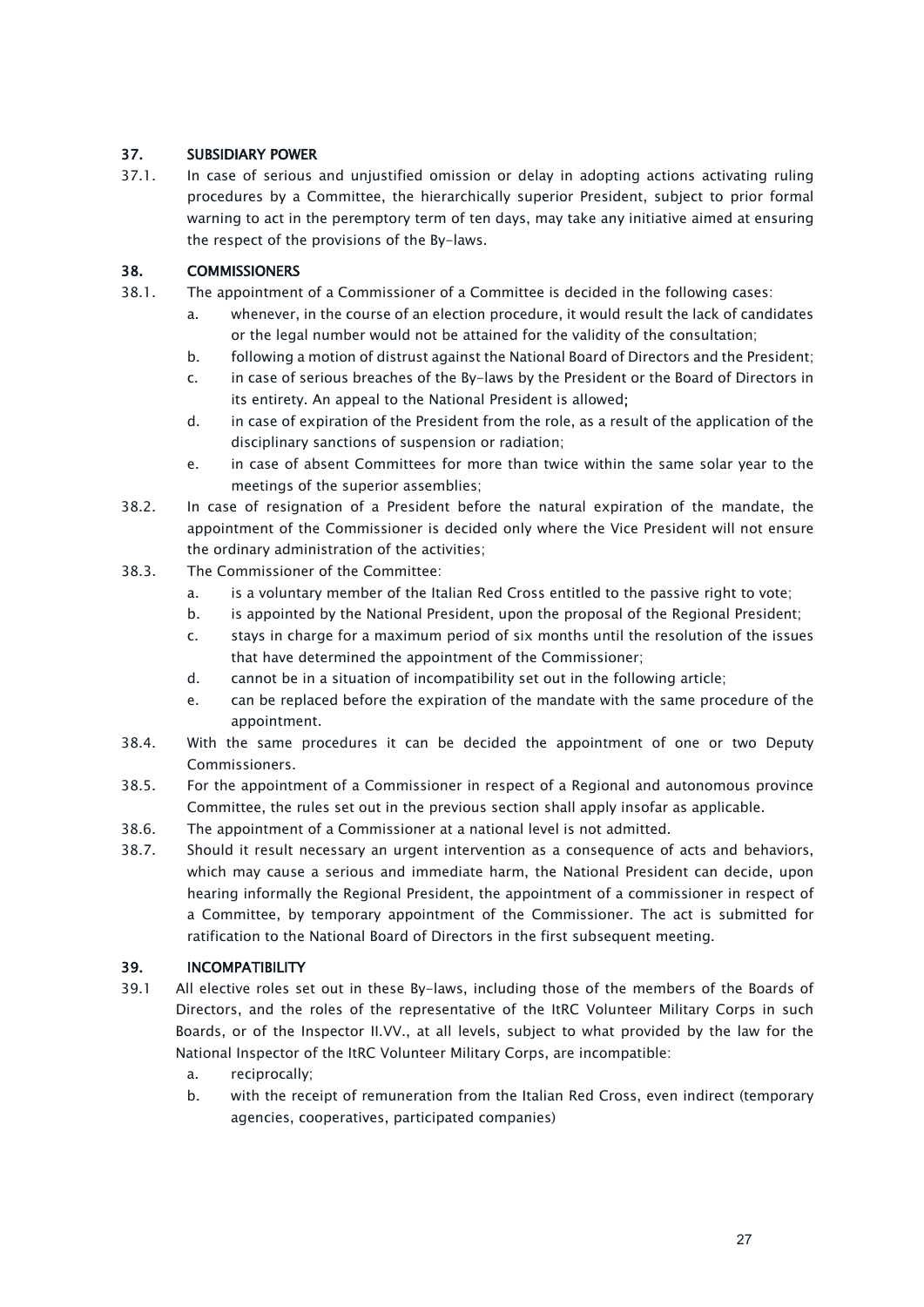# <span id="page-26-0"></span>37. SUBSIDIARY POWER

37.1. In case of serious and unjustified omission or delay in adopting actions activating ruling procedures by a Committee, the hierarchically superior President, subject to prior formal warning to act in the peremptory term of ten days, may take any initiative aimed at ensuring the respect of the provisions of the By-laws.

# <span id="page-26-1"></span>38. COMMISSIONERS

- 38.1. The appointment of a Commissioner of a Committee is decided in the following cases:
	- a. whenever, in the course of an election procedure, it would result the lack of candidates or the legal number would not be attained for the validity of the consultation;
	- b. following a motion of distrust against the National Board of Directors and the President;
	- c. in case of serious breaches of the By-laws by the President or the Board of Directors in its entirety. An appeal to the National President is allowed;
	- d. in case of expiration of the President from the role, as a result of the application of the disciplinary sanctions of suspension or radiation;
	- e. in case of absent Committees for more than twice within the same solar year to the meetings of the superior assemblies;
- 38.2. In case of resignation of a President before the natural expiration of the mandate, the appointment of the Commissioner is decided only where the Vice President will not ensure the ordinary administration of the activities;
- 38.3. The Commissioner of the Committee:
	- a. is a voluntary member of the Italian Red Cross entitled to the passive right to vote;
	- b. is appointed by the National President, upon the proposal of the Regional President;
	- c. stays in charge for a maximum period of six months until the resolution of the issues that have determined the appointment of the Commissioner;
	- d. cannot be in a situation of incompatibility set out in the following article;
	- e. can be replaced before the expiration of the mandate with the same procedure of the appointment.
- 38.4. With the same procedures it can be decided the appointment of one or two Deputy Commissioners.
- 38.5. For the appointment of a Commissioner in respect of a Regional and autonomous province Committee, the rules set out in the previous section shall apply insofar as applicable.
- 38.6. The appointment of a Commissioner at a national level is not admitted.
- 38.7. Should it result necessary an urgent intervention as a consequence of acts and behaviors, which may cause a serious and immediate harm, the National President can decide, upon hearing informally the Regional President, the appointment of a commissioner in respect of a Committee, by temporary appointment of the Commissioner. The act is submitted for ratification to the National Board of Directors in the first subsequent meeting.

# <span id="page-26-2"></span>39. INCOMPATIBILITY

- 39.1 All elective roles set out in these By-laws, including those of the members of the Boards of Directors, and the roles of the representative of the ItRC Volunteer Military Corps in such Boards, or of the Inspector II.VV., at all levels, subject to what provided by the law for the National Inspector of the ItRC Volunteer Military Corps, are incompatible:
	- a. reciprocally;
	- b. with the receipt of remuneration from the Italian Red Cross, even indirect (temporary agencies, cooperatives, participated companies)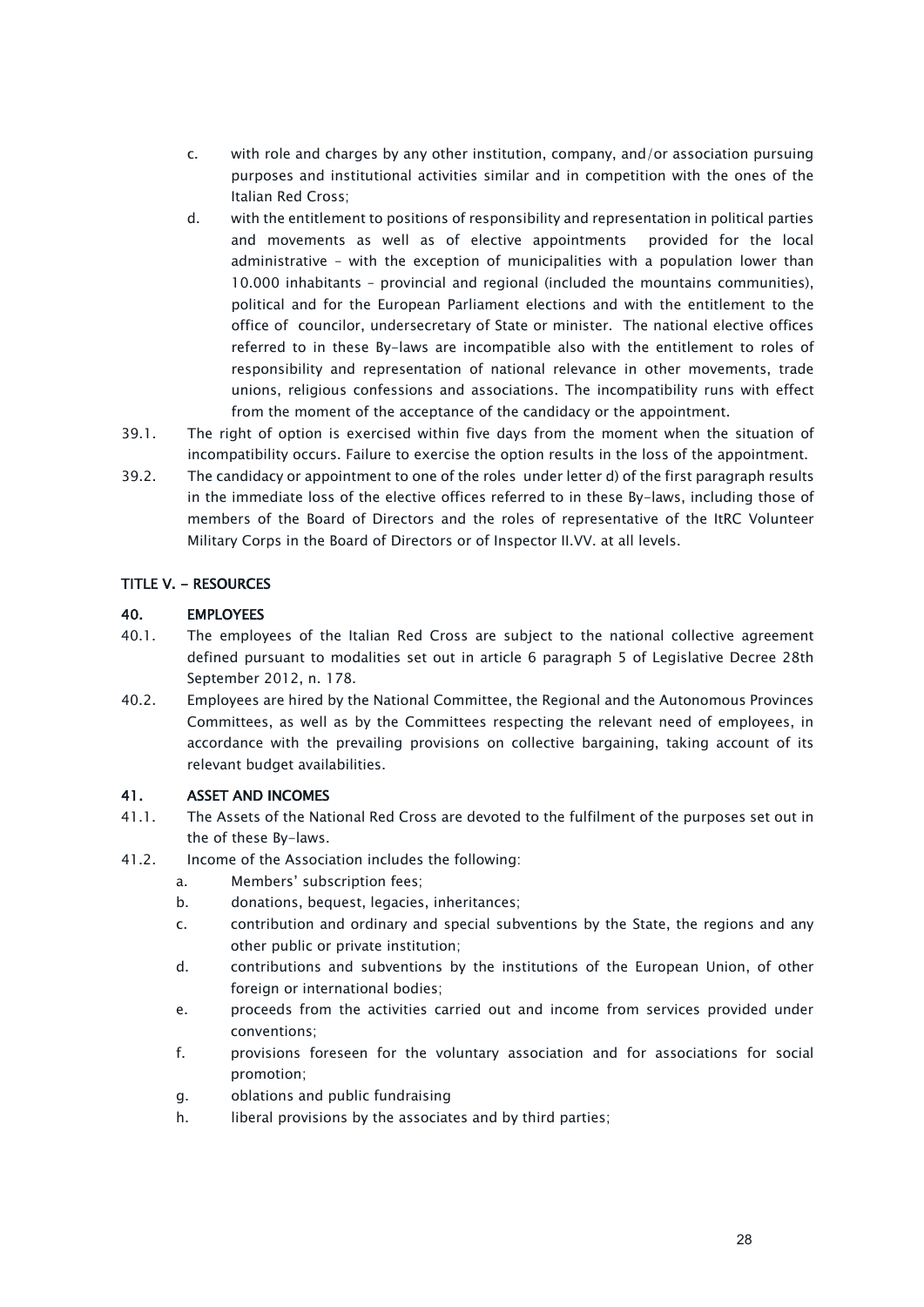- c. with role and charges by any other institution, company, and/or association pursuing purposes and institutional activities similar and in competition with the ones of the Italian Red Cross;
- d. with the entitlement to positions of responsibility and representation in political parties and movements as well as of elective appointments provided for the local administrative – with the exception of municipalities with a population lower than 10.000 inhabitants – provincial and regional (included the mountains communities), political and for the European Parliament elections and with the entitlement to the office of councilor, undersecretary of State or minister. The national elective offices referred to in these By-laws are incompatible also with the entitlement to roles of responsibility and representation of national relevance in other movements, trade unions, religious confessions and associations. The incompatibility runs with effect from the moment of the acceptance of the candidacy or the appointment.
- 39.1. The right of option is exercised within five days from the moment when the situation of incompatibility occurs. Failure to exercise the option results in the loss of the appointment.
- 39.2. The candidacy or appointment to one of the roles under letter d) of the first paragraph results in the immediate loss of the elective offices referred to in these By-laws, including those of members of the Board of Directors and the roles of representative of the ItRC Volunteer Military Corps in the Board of Directors or of Inspector II.VV. at all levels.

### <span id="page-27-0"></span>TITLE V. - RESOURCES

# <span id="page-27-1"></span>40. EMPLOYEES

- 40.1. The employees of the Italian Red Cross are subject to the national collective agreement defined pursuant to modalities set out in article 6 paragraph 5 of Legislative Decree 28th September 2012, n. 178.
- 40.2. Employees are hired by the National Committee, the Regional and the Autonomous Provinces Committees, as well as by the Committees respecting the relevant need of employees, in accordance with the prevailing provisions on collective bargaining, taking account of its relevant budget availabilities.

### <span id="page-27-2"></span>41. ASSET AND INCOMES

- 41.1. The Assets of the National Red Cross are devoted to the fulfilment of the purposes set out in the of these By-laws.
- 41.2. Income of the Association includes the following:
	- a. Members' subscription fees;
	- b. donations, bequest, legacies, inheritances;
	- c. contribution and ordinary and special subventions by the State, the regions and any other public or private institution;
	- d. contributions and subventions by the institutions of the European Union, of other foreign or international bodies;
	- e. proceeds from the activities carried out and income from services provided under conventions;
	- f. provisions foreseen for the voluntary association and for associations for social promotion;
	- g. oblations and public fundraising
	- h. liberal provisions by the associates and by third parties;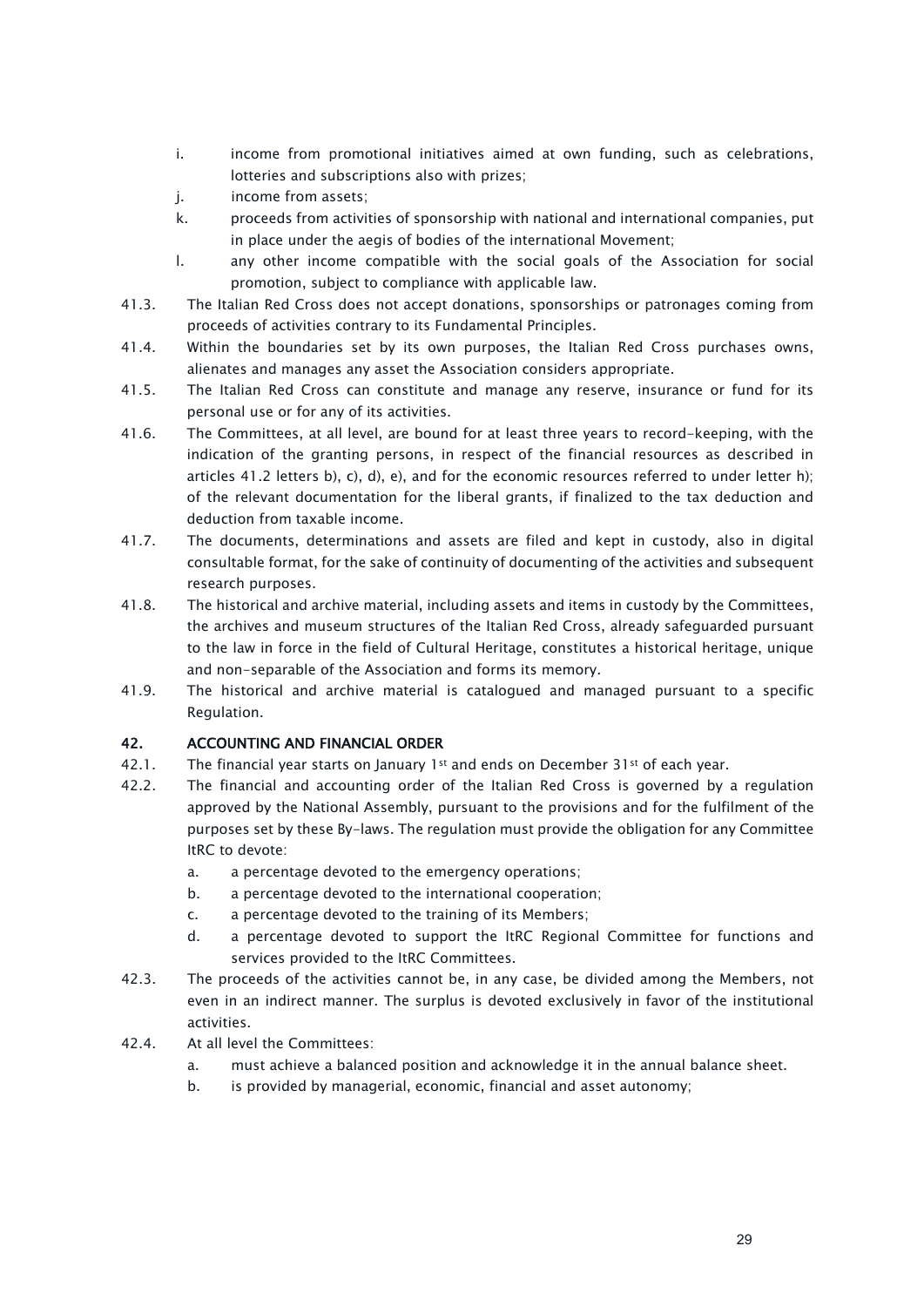- i. income from promotional initiatives aimed at own funding, such as celebrations, lotteries and subscriptions also with prizes;
- j. income from assets;
- k. proceeds from activities of sponsorship with national and international companies, put in place under the aegis of bodies of the international Movement;
- l. any other income compatible with the social goals of the Association for social promotion, subject to compliance with applicable law.
- 41.3. The Italian Red Cross does not accept donations, sponsorships or patronages coming from proceeds of activities contrary to its Fundamental Principles.
- 41.4. Within the boundaries set by its own purposes, the Italian Red Cross purchases owns, alienates and manages any asset the Association considers appropriate.
- 41.5. The Italian Red Cross can constitute and manage any reserve, insurance or fund for its personal use or for any of its activities.
- 41.6. The Committees, at all level, are bound for at least three years to record-keeping, with the indication of the granting persons, in respect of the financial resources as described in articles 41.2 letters b), c), d), e), and for the economic resources referred to under letter h); of the relevant documentation for the liberal grants, if finalized to the tax deduction and deduction from taxable income.
- 41.7. The documents, determinations and assets are filed and kept in custody, also in digital consultable format, for the sake of continuity of documenting of the activities and subsequent research purposes.
- 41.8. The historical and archive material, including assets and items in custody by the Committees, the archives and museum structures of the Italian Red Cross, already safeguarded pursuant to the law in force in the field of Cultural Heritage, constitutes a historical heritage, unique and non-separable of the Association and forms its memory.
- 41.9. The historical and archive material is catalogued and managed pursuant to a specific Regulation.

### <span id="page-28-0"></span>42. ACCOUNTING AND FINANCIAL ORDER

- 42.1. The financial year starts on January 1st and ends on December 31st of each year.
- 42.2. The financial and accounting order of the Italian Red Cross is governed by a regulation approved by the National Assembly, pursuant to the provisions and for the fulfilment of the purposes set by these By-laws. The regulation must provide the obligation for any Committee ItRC to devote:
	- a. a percentage devoted to the emergency operations;
	- b. a percentage devoted to the international cooperation;
	- c. a percentage devoted to the training of its Members;
	- d. a percentage devoted to support the ItRC Regional Committee for functions and services provided to the ItRC Committees.
- 42.3. The proceeds of the activities cannot be, in any case, be divided among the Members, not even in an indirect manner. The surplus is devoted exclusively in favor of the institutional activities.
- 42.4. At all level the Committees:
	- a. must achieve a balanced position and acknowledge it in the annual balance sheet.
	- b. is provided by managerial, economic, financial and asset autonomy;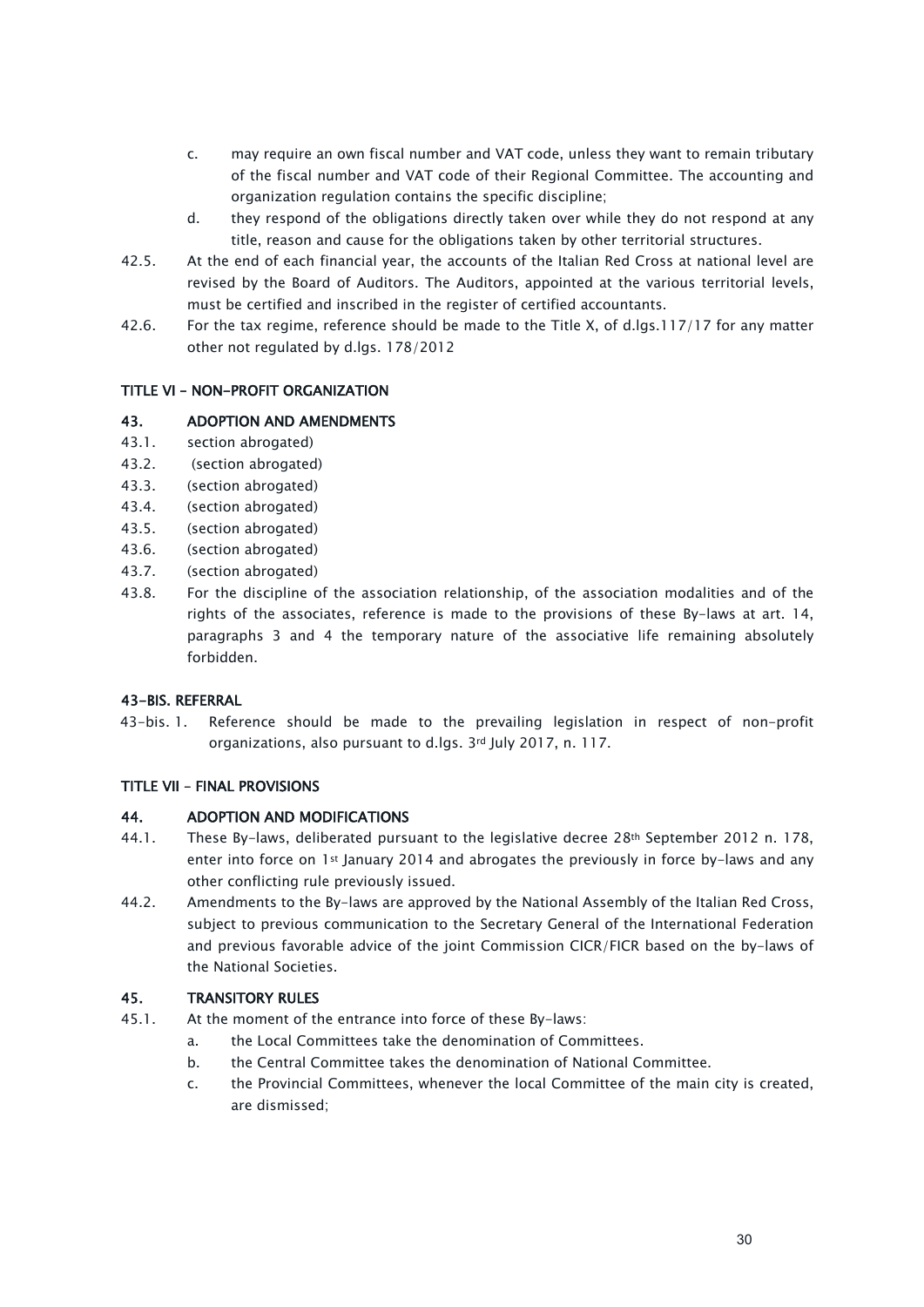- c. may require an own fiscal number and VAT code, unless they want to remain tributary of the fiscal number and VAT code of their Regional Committee. The accounting and organization regulation contains the specific discipline;
- d. they respond of the obligations directly taken over while they do not respond at any title, reason and cause for the obligations taken by other territorial structures.
- 42.5. At the end of each financial year, the accounts of the Italian Red Cross at national level are revised by the Board of Auditors. The Auditors, appointed at the various territorial levels, must be certified and inscribed in the register of certified accountants.
- 42.6. For the tax regime, reference should be made to the Title X, of d.lgs.117/17 for any matter other not regulated by d.lgs. 178/2012

### <span id="page-29-0"></span>TITLE VI – NON-PROFIT ORGANIZATION

# <span id="page-29-1"></span>43. ADOPTION AND AMENDMENTS

- 43.1. section abrogated)
- 43.2. (section abrogated)
- 43.3. (section abrogated)
- 43.4. (section abrogated)
- 43.5. (section abrogated)
- 43.6. (section abrogated)
- 43.7. (section abrogated)
- 43.8. For the discipline of the association relationship, of the association modalities and of the rights of the associates, reference is made to the provisions of these By-laws at art. 14, paragraphs 3 and 4 the temporary nature of the associative life remaining absolutely forbidden.

### <span id="page-29-2"></span>43-BIS. REFERRAL

43-bis. 1. Reference should be made to the prevailing legislation in respect of non-profit organizations, also pursuant to d.lgs. 3rd July 2017, n. 117.

### <span id="page-29-3"></span>TITLE VII – FINAL PROVISIONS

### <span id="page-29-4"></span>44. ADOPTION AND MODIFICATIONS

- 44.1. These By-laws, deliberated pursuant to the legislative decree 28th September 2012 n. 178, enter into force on 1st January 2014 and abrogates the previously in force by-laws and any other conflicting rule previously issued.
- 44.2. Amendments to the By-laws are approved by the National Assembly of the Italian Red Cross, subject to previous communication to the Secretary General of the International Federation and previous favorable advice of the joint Commission CICR/FICR based on the by-laws of the National Societies.

### <span id="page-29-5"></span>45. TRANSITORY RULES

- 45.1. At the moment of the entrance into force of these By-laws:
	- a. the Local Committees take the denomination of Committees.
	- b. the Central Committee takes the denomination of National Committee.
	- c. the Provincial Committees, whenever the local Committee of the main city is created, are dismissed;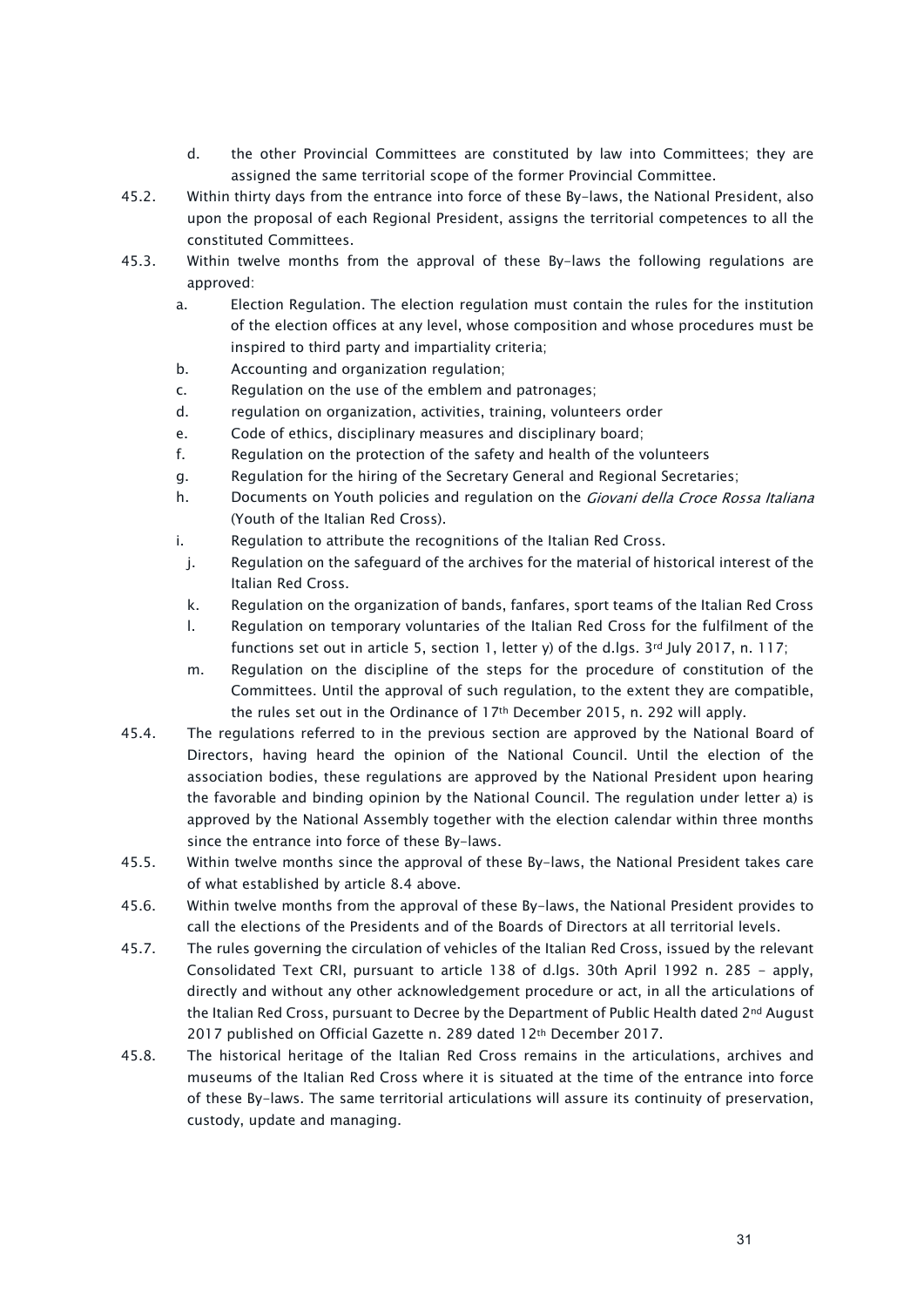- d. the other Provincial Committees are constituted by law into Committees; they are assigned the same territorial scope of the former Provincial Committee.
- 45.2. Within thirty days from the entrance into force of these By-laws, the National President, also upon the proposal of each Regional President, assigns the territorial competences to all the constituted Committees.
- 45.3. Within twelve months from the approval of these By-laws the following regulations are approved:
	- a. Election Regulation. The election regulation must contain the rules for the institution of the election offices at any level, whose composition and whose procedures must be inspired to third party and impartiality criteria;
	- b. Accounting and organization regulation;
	- c. Regulation on the use of the emblem and patronages;
	- d. regulation on organization, activities, training, volunteers order
	- e. Code of ethics, disciplinary measures and disciplinary board;
	- f. Regulation on the protection of the safety and health of the volunteers
	- g. Regulation for the hiring of the Secretary General and Regional Secretaries;
	- h. Documents on Youth policies and regulation on the *Giovani della Croce Rossa Italiana* (Youth of the Italian Red Cross).
	- i. Regulation to attribute the recognitions of the Italian Red Cross.
	- j. Regulation on the safeguard of the archives for the material of historical interest of the Italian Red Cross.
	- k. Regulation on the organization of bands, fanfares, sport teams of the Italian Red Cross
	- l. Regulation on temporary voluntaries of the Italian Red Cross for the fulfilment of the functions set out in article 5, section 1, letter y) of the d.lgs. 3rd July 2017, n. 117;
	- m. Regulation on the discipline of the steps for the procedure of constitution of the Committees. Until the approval of such regulation, to the extent they are compatible, the rules set out in the Ordinance of 17th December 2015, n. 292 will apply.
- 45.4. The regulations referred to in the previous section are approved by the National Board of Directors, having heard the opinion of the National Council. Until the election of the association bodies, these regulations are approved by the National President upon hearing the favorable and binding opinion by the National Council. The regulation under letter a) is approved by the National Assembly together with the election calendar within three months since the entrance into force of these By-laws.
- 45.5. Within twelve months since the approval of these By-laws, the National President takes care of what established by article 8.4 above.
- 45.6. Within twelve months from the approval of these By-laws, the National President provides to call the elections of the Presidents and of the Boards of Directors at all territorial levels.
- 45.7. The rules governing the circulation of vehicles of the Italian Red Cross, issued by the relevant Consolidated Text CRI, pursuant to article 138 of d.lgs. 30th April 1992 n. 285 - apply, directly and without any other acknowledgement procedure or act, in all the articulations of the Italian Red Cross, pursuant to Decree by the Department of Public Health dated 2<sup>nd</sup> August 2017 published on Official Gazette n. 289 dated 12th December 2017.
- 45.8. The historical heritage of the Italian Red Cross remains in the articulations, archives and museums of the Italian Red Cross where it is situated at the time of the entrance into force of these By-laws. The same territorial articulations will assure its continuity of preservation, custody, update and managing.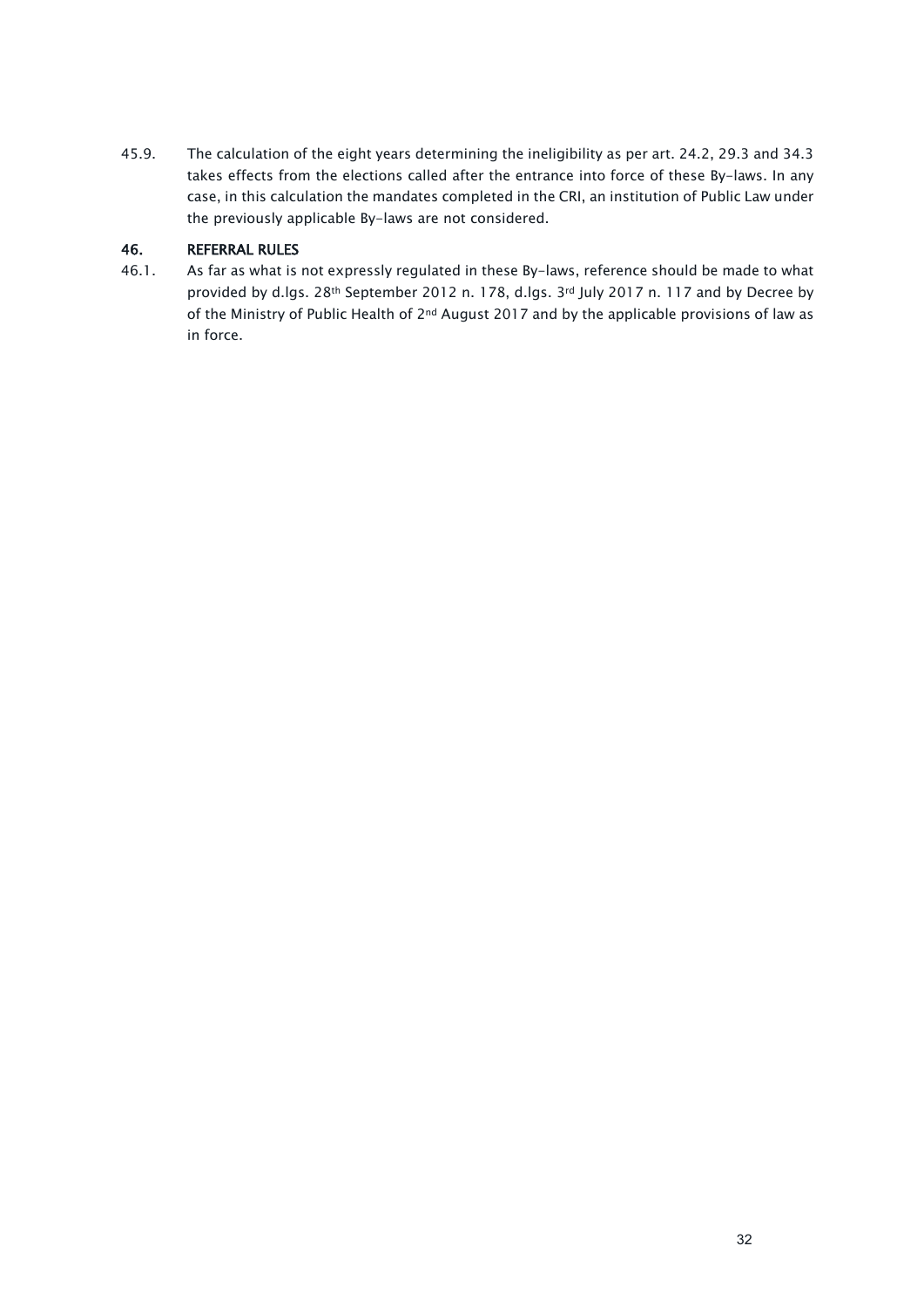45.9. The calculation of the eight years determining the ineligibility as per art. 24.2, 29.3 and 34.3 takes effects from the elections called after the entrance into force of these By-laws. In any case, in this calculation the mandates completed in the CRI, an institution of Public Law under the previously applicable By-laws are not considered.

# <span id="page-31-0"></span>46. REFERRAL RULES

46.1. As far as what is not expressly regulated in these By-laws, reference should be made to what provided by d.lgs. 28th September 2012 n. 178, d.lgs. 3rd July 2017 n. 117 and by Decree by of the Ministry of Public Health of 2nd August 2017 and by the applicable provisions of law as in force.